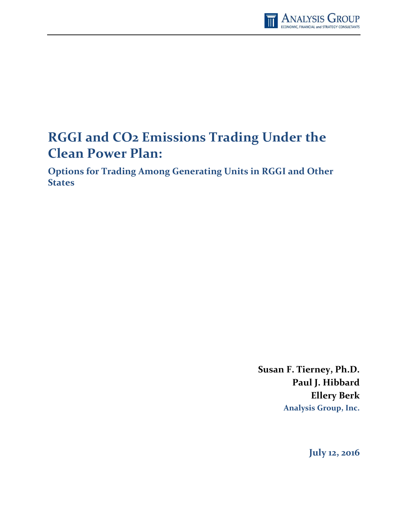

# **RGGI and CO2 Emissions Trading Under the Clean Power Plan:**

**Options for Trading Among Generating Units in RGGI and Other States**

> **Susan F. Tierney, Ph.D. Paul J. Hibbard Ellery Berk Analysis Group, Inc.**

> > **July 12, 2016**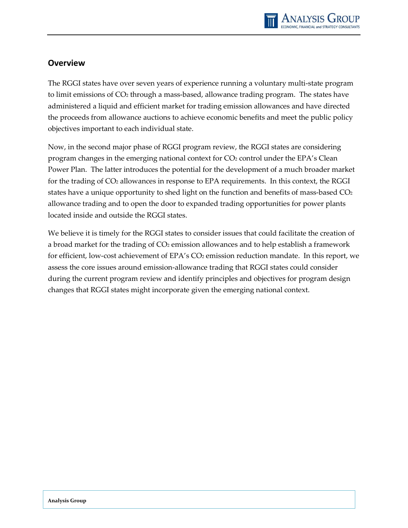

## <span id="page-1-0"></span>**Overview**

The RGGI states have over seven years of experience running a voluntary multi-state program to limit emissions of CO<sub>2</sub> through a mass-based, allowance trading program. The states have administered a liquid and efficient market for trading emission allowances and have directed the proceeds from allowance auctions to achieve economic benefits and meet the public policy objectives important to each individual state.

Now, in the second major phase of RGGI program review, the RGGI states are considering program changes in the emerging national context for CO<sub>2</sub> control under the EPA's Clean Power Plan. The latter introduces the potential for the development of a much broader market for the trading of CO2 allowances in response to EPA requirements. In this context, the RGGI states have a unique opportunity to shed light on the function and benefits of mass-based  $CO<sub>2</sub>$ allowance trading and to open the door to expanded trading opportunities for power plants located inside and outside the RGGI states.

We believe it is timely for the RGGI states to consider issues that could facilitate the creation of a broad market for the trading of CO<sub>2</sub> emission allowances and to help establish a framework for efficient, low-cost achievement of EPA's CO<sub>2</sub> emission reduction mandate. In this report, we assess the core issues around emission-allowance trading that RGGI states could consider during the current program review and identify principles and objectives for program design changes that RGGI states might incorporate given the emerging national context.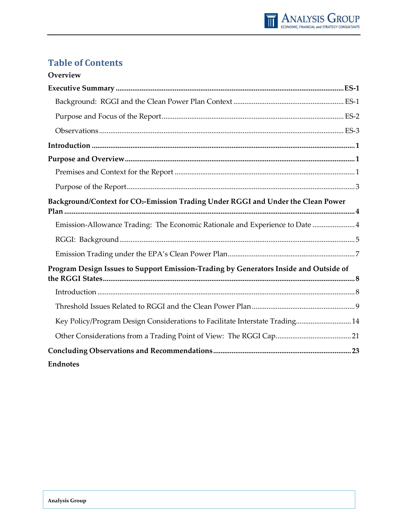

## **Table of Contents**

| Overview                                                                                      |
|-----------------------------------------------------------------------------------------------|
|                                                                                               |
|                                                                                               |
|                                                                                               |
|                                                                                               |
|                                                                                               |
|                                                                                               |
|                                                                                               |
|                                                                                               |
| Background/Context for CO <sub>2</sub> -Emission Trading Under RGGI and Under the Clean Power |
| Emission-Allowance Trading: The Economic Rationale and Experience to Date  4                  |
|                                                                                               |
|                                                                                               |
| Program Design Issues to Support Emission-Trading by Generators Inside and Outside of         |
|                                                                                               |
|                                                                                               |
|                                                                                               |
| Key Policy/Program Design Considerations to Facilitate Interstate Trading 14                  |
|                                                                                               |
|                                                                                               |
| <b>Endnotes</b>                                                                               |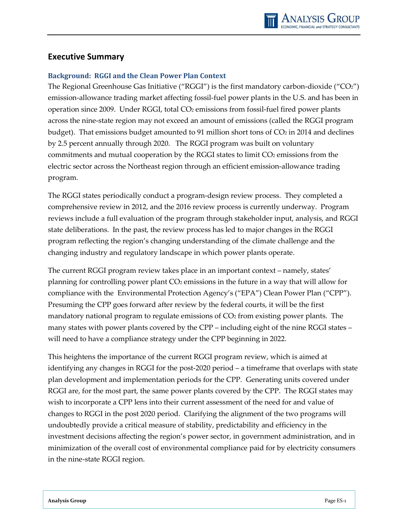### <span id="page-3-0"></span>**Executive Summary**

#### <span id="page-3-1"></span>**Background: RGGI and the Clean Power Plan Context**

The Regional Greenhouse Gas Initiative ("RGGI") is the first mandatory carbon-dioxide ("CO2") emission-allowance trading market affecting fossil-fuel power plants in the U.S. and has been in operation since 2009. Under RGGI, total CO<sub>2</sub> emissions from fossil-fuel fired power plants across the nine-state region may not exceed an amount of emissions (called the RGGI program budget). That emissions budget amounted to 91 million short tons of  $CO<sub>2</sub>$  in 2014 and declines by 2.5 percent annually through 2020. The RGGI program was built on voluntary commitments and mutual cooperation by the RGGI states to limit  $CO<sub>2</sub>$  emissions from the electric sector across the Northeast region through an efficient emission-allowance trading program.

The RGGI states periodically conduct a program-design review process. They completed a comprehensive review in 2012, and the 2016 review process is currently underway. Program reviews include a full evaluation of the program through stakeholder input, analysis, and RGGI state deliberations. In the past, the review process has led to major changes in the RGGI program reflecting the region's changing understanding of the climate challenge and the changing industry and regulatory landscape in which power plants operate.

The current RGGI program review takes place in an important context – namely, states' planning for controlling power plant CO<sub>2</sub> emissions in the future in a way that will allow for compliance with the Environmental Protection Agency's ("EPA") Clean Power Plan ("CPP"). Presuming the CPP goes forward after review by the federal courts, it will be the first mandatory national program to regulate emissions of  $CO<sub>2</sub>$  from existing power plants. The many states with power plants covered by the CPP – including eight of the nine RGGI states – will need to have a compliance strategy under the CPP beginning in 2022.

This heightens the importance of the current RGGI program review, which is aimed at identifying any changes in RGGI for the post-2020 period – a timeframe that overlaps with state plan development and implementation periods for the CPP. Generating units covered under RGGI are, for the most part, the same power plants covered by the CPP. The RGGI states may wish to incorporate a CPP lens into their current assessment of the need for and value of changes to RGGI in the post 2020 period. Clarifying the alignment of the two programs will undoubtedly provide a critical measure of stability, predictability and efficiency in the investment decisions affecting the region's power sector, in government administration, and in minimization of the overall cost of environmental compliance paid for by electricity consumers in the nine-state RGGI region.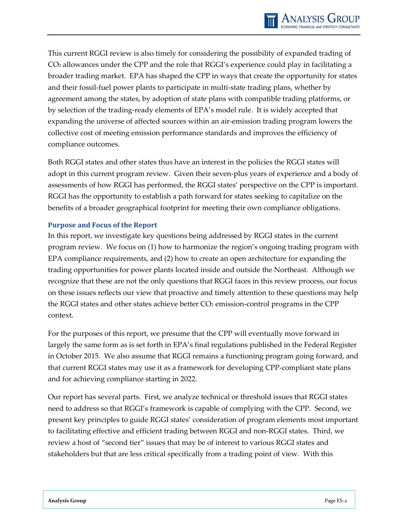This current RGGI review is also timely for considering the possibility of expanded trading of CO2 allowances under the CPP and the role that RGGI's experience could play in facilitating a broader trading market. EPA has shaped the CPP in ways that create the opportunity for states and their fossil-fuel power plants to participate in multi-state trading plans, whether by agreement among the states, by adoption of state plans with compatible trading platforms, or by selection of the trading-ready elements of EPA's model rule. It is widely accepted that expanding the universe of affected sources within an air-emission trading program lowers the collective cost of meeting emission performance standards and improves the efficiency of compliance outcomes.

Both RGGI states and other states thus have an interest in the policies the RGGI states will adopt in this current program review. Given their seven-plus years of experience and a body of assessments of how RGGI has performed, the RGGI states' perspective on the CPP is important. RGGI has the opportunity to establish a path forward for states seeking to capitalize on the benefits of a broader geographical footprint for meeting their own compliance obligations.

#### <span id="page-4-0"></span>**Purpose and Focus of the Report**

In this report, we investigate key questions being addressed by RGGI states in the current program review. We focus on (1) how to harmonize the region's ongoing trading program with EPA compliance requirements, and (2) how to create an open architecture for expanding the trading opportunities for power plants located inside and outside the Northeast. Although we recognize that these are not the only questions that RGGI faces in this review process, our focus on these issues reflects our view that proactive and timely attention to these questions may help the RGGI states and other states achieve better CO<sub>2</sub> emission-control programs in the CPP context.

For the purposes of this report, we presume that the CPP will eventually move forward in largely the same form as is set forth in EPA's final regulations published in the Federal Register in October 2015. We also assume that RGGI remains a functioning program going forward, and that current RGGI states may use it as a framework for developing CPP-compliant state plans and for achieving compliance starting in 2022.

Our report has several parts. First, we analyze technical or threshold issues that RGGI states need to address so that RGGI's framework is capable of complying with the CPP. Second, we present key principles to guide RGGI states' consideration of program elements most important to facilitating effective and efficient trading between RGGI and non-RGGI states. Third, we review a host of "second tier" issues that may be of interest to various RGGI states and stakeholders but that are less critical specifically from a trading point of view. With this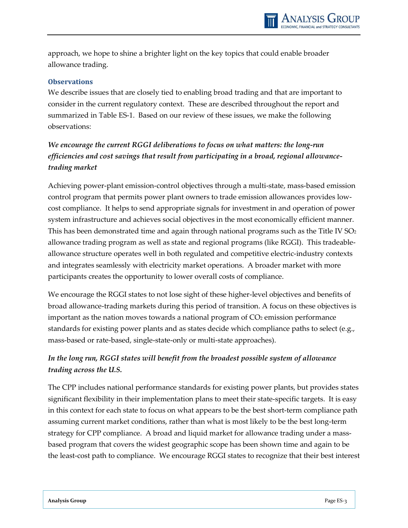approach, we hope to shine a brighter light on the key topics that could enable broader allowance trading.

#### <span id="page-5-0"></span>**Observations**

We describe issues that are closely tied to enabling broad trading and that are important to consider in the current regulatory context. These are described throughout the report and summarized in Table ES-1. Based on our review of these issues, we make the following observations:

## *We encourage the current RGGI deliberations to focus on what matters: the long-run efficiencies and cost savings that result from participating in a broad, regional allowancetrading market*

Achieving power-plant emission-control objectives through a multi-state, mass-based emission control program that permits power plant owners to trade emission allowances provides lowcost compliance. It helps to send appropriate signals for investment in and operation of power system infrastructure and achieves social objectives in the most economically efficient manner. This has been demonstrated time and again through national programs such as the Title IV SO<sub>2</sub> allowance trading program as well as state and regional programs (like RGGI). This tradeableallowance structure operates well in both regulated and competitive electric-industry contexts and integrates seamlessly with electricity market operations. A broader market with more participants creates the opportunity to lower overall costs of compliance.

We encourage the RGGI states to not lose sight of these higher-level objectives and benefits of broad allowance-trading markets during this period of transition. A focus on these objectives is important as the nation moves towards a national program of  $CO<sub>2</sub>$  emission performance standards for existing power plants and as states decide which compliance paths to select (e.g., mass-based or rate-based, single-state-only or multi-state approaches).

## *In the long run, RGGI states will benefit from the broadest possible system of allowance trading across the U.S.*

The CPP includes national performance standards for existing power plants, but provides states significant flexibility in their implementation plans to meet their state-specific targets. It is easy in this context for each state to focus on what appears to be the best short-term compliance path assuming current market conditions, rather than what is most likely to be the best long-term strategy for CPP compliance. A broad and liquid market for allowance trading under a massbased program that covers the widest geographic scope has been shown time and again to be the least-cost path to compliance. We encourage RGGI states to recognize that their best interest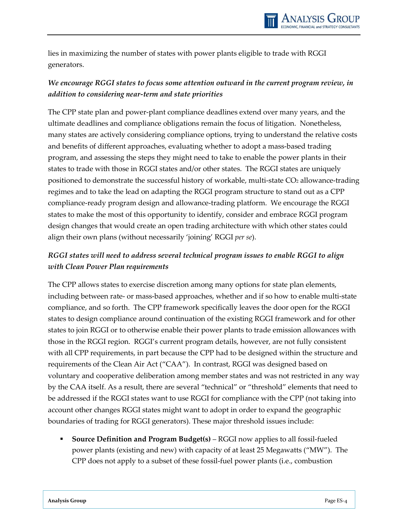lies in maximizing the number of states with power plants eligible to trade with RGGI generators.

## *We encourage RGGI states to focus some attention outward in the current program review, in addition to considering near-term and state priorities*

The CPP state plan and power-plant compliance deadlines extend over many years, and the ultimate deadlines and compliance obligations remain the focus of litigation. Nonetheless, many states are actively considering compliance options, trying to understand the relative costs and benefits of different approaches, evaluating whether to adopt a mass-based trading program, and assessing the steps they might need to take to enable the power plants in their states to trade with those in RGGI states and/or other states. The RGGI states are uniquely positioned to demonstrate the successful history of workable, multi-state CO<sub>2</sub> allowance-trading regimes and to take the lead on adapting the RGGI program structure to stand out as a CPP compliance-ready program design and allowance-trading platform. We encourage the RGGI states to make the most of this opportunity to identify, consider and embrace RGGI program design changes that would create an open trading architecture with which other states could align their own plans (without necessarily 'joining' RGGI *per se*).

## *RGGI states will need to address several technical program issues to enable RGGI to align with Clean Power Plan requirements*

The CPP allows states to exercise discretion among many options for state plan elements, including between rate- or mass-based approaches, whether and if so how to enable multi-state compliance, and so forth. The CPP framework specifically leaves the door open for the RGGI states to design compliance around continuation of the existing RGGI framework and for other states to join RGGI or to otherwise enable their power plants to trade emission allowances with those in the RGGI region. RGGI's current program details, however, are not fully consistent with all CPP requirements, in part because the CPP had to be designed within the structure and requirements of the Clean Air Act ("CAA"). In contrast, RGGI was designed based on voluntary and cooperative deliberation among member states and was not restricted in any way by the CAA itself. As a result, there are several "technical" or "threshold" elements that need to be addressed if the RGGI states want to use RGGI for compliance with the CPP (not taking into account other changes RGGI states might want to adopt in order to expand the geographic boundaries of trading for RGGI generators). These major threshold issues include:

 **Source Definition and Program Budget(s)** – RGGI now applies to all fossil-fueled power plants (existing and new) with capacity of at least 25 Megawatts ("MW"). The CPP does not apply to a subset of these fossil-fuel power plants (i.e., combustion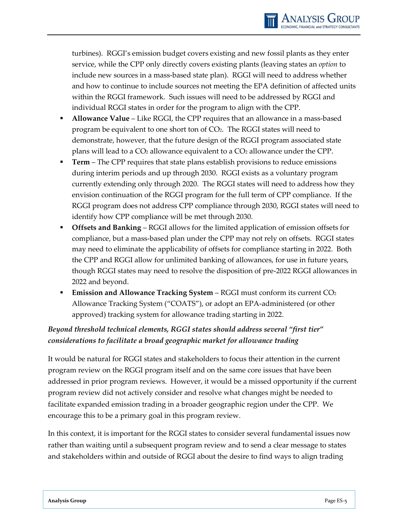turbines). RGGI's emission budget covers existing and new fossil plants as they enter service, while the CPP only directly covers existing plants (leaving states an *option* to include new sources in a mass-based state plan). RGGI will need to address whether and how to continue to include sources not meeting the EPA definition of affected units within the RGGI framework. Such issues will need to be addressed by RGGI and individual RGGI states in order for the program to align with the CPP.

- **Allowance Value** Like RGGI, the CPP requires that an allowance in a mass-based program be equivalent to one short ton of CO<sub>2</sub>. The RGGI states will need to demonstrate, however, that the future design of the RGGI program associated state plans will lead to a  $CO<sub>2</sub>$  allowance equivalent to a  $CO<sub>2</sub>$  allowance under the CPP.
- **Term** The CPP requires that state plans establish provisions to reduce emissions during interim periods and up through 2030. RGGI exists as a voluntary program currently extending only through 2020. The RGGI states will need to address how they envision continuation of the RGGI program for the full term of CPP compliance. If the RGGI program does not address CPP compliance through 2030, RGGI states will need to identify how CPP compliance will be met through 2030.
- **Offsets and Banking** RGGI allows for the limited application of emission offsets for compliance, but a mass-based plan under the CPP may not rely on offsets. RGGI states may need to eliminate the applicability of offsets for compliance starting in 2022. Both the CPP and RGGI allow for unlimited banking of allowances, for use in future years, though RGGI states may need to resolve the disposition of pre-2022 RGGI allowances in 2022 and beyond.
- **Emission and Allowance Tracking System** RGGI must conform its current CO<sub>2</sub> Allowance Tracking System ("COATS"), or adopt an EPA-administered (or other approved) tracking system for allowance trading starting in 2022.

## *Beyond threshold technical elements, RGGI states should address several "first tier" considerations to facilitate a broad geographic market for allowance trading*

It would be natural for RGGI states and stakeholders to focus their attention in the current program review on the RGGI program itself and on the same core issues that have been addressed in prior program reviews. However, it would be a missed opportunity if the current program review did not actively consider and resolve what changes might be needed to facilitate expanded emission trading in a broader geographic region under the CPP. We encourage this to be a primary goal in this program review.

In this context, it is important for the RGGI states to consider several fundamental issues now rather than waiting until a subsequent program review and to send a clear message to states and stakeholders within and outside of RGGI about the desire to find ways to align trading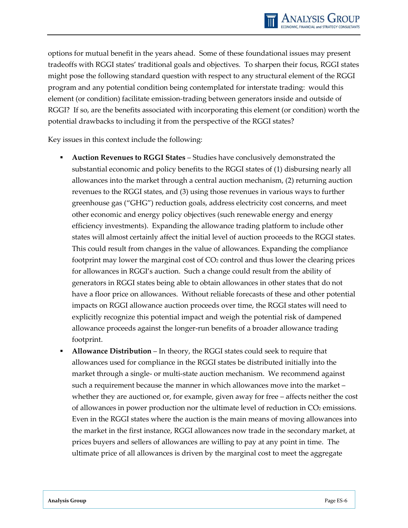

options for mutual benefit in the years ahead. Some of these foundational issues may present tradeoffs with RGGI states' traditional goals and objectives. To sharpen their focus, RGGI states might pose the following standard question with respect to any structural element of the RGGI program and any potential condition being contemplated for interstate trading: would this element (or condition) facilitate emission-trading between generators inside and outside of RGGI? If so, are the benefits associated with incorporating this element (or condition) worth the potential drawbacks to including it from the perspective of the RGGI states?

Key issues in this context include the following:

- **Auction Revenues to RGGI States** Studies have conclusively demonstrated the substantial economic and policy benefits to the RGGI states of (1) disbursing nearly all allowances into the market through a central auction mechanism, (2) returning auction revenues to the RGGI states, and (3) using those revenues in various ways to further greenhouse gas ("GHG") reduction goals, address electricity cost concerns, and meet other economic and energy policy objectives (such renewable energy and energy efficiency investments). Expanding the allowance trading platform to include other states will almost certainly affect the initial level of auction proceeds to the RGGI states. This could result from changes in the value of allowances. Expanding the compliance footprint may lower the marginal cost of  $CO<sub>2</sub>$  control and thus lower the clearing prices for allowances in RGGI's auction. Such a change could result from the ability of generators in RGGI states being able to obtain allowances in other states that do not have a floor price on allowances. Without reliable forecasts of these and other potential impacts on RGGI allowance auction proceeds over time, the RGGI states will need to explicitly recognize this potential impact and weigh the potential risk of dampened allowance proceeds against the longer-run benefits of a broader allowance trading footprint.
- **Allowance Distribution** In theory, the RGGI states could seek to require that allowances used for compliance in the RGGI states be distributed initially into the market through a single- or multi-state auction mechanism. We recommend against such a requirement because the manner in which allowances move into the market – whether they are auctioned or, for example, given away for free – affects neither the cost of allowances in power production nor the ultimate level of reduction in  $CO<sub>2</sub>$  emissions. Even in the RGGI states where the auction is the main means of moving allowances into the market in the first instance, RGGI allowances now trade in the secondary market, at prices buyers and sellers of allowances are willing to pay at any point in time. The ultimate price of all allowances is driven by the marginal cost to meet the aggregate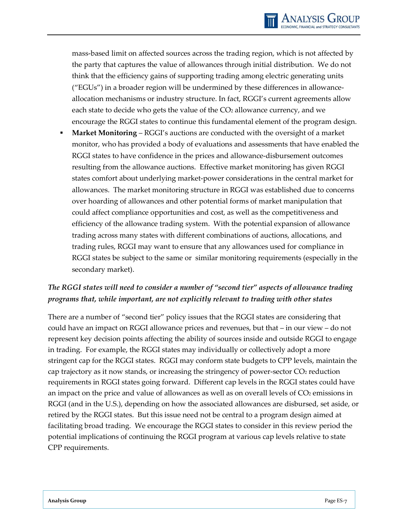mass-based limit on affected sources across the trading region, which is not affected by the party that captures the value of allowances through initial distribution. We do not think that the efficiency gains of supporting trading among electric generating units ("EGUs") in a broader region will be undermined by these differences in allowanceallocation mechanisms or industry structure. In fact, RGGI's current agreements allow each state to decide who gets the value of the CO<sub>2</sub> allowance currency, and we encourage the RGGI states to continue this fundamental element of the program design.

 **Market Monitoring** – RGGI's auctions are conducted with the oversight of a market monitor, who has provided a body of evaluations and assessments that have enabled the RGGI states to have confidence in the prices and allowance-disbursement outcomes resulting from the allowance auctions. Effective market monitoring has given RGGI states comfort about underlying market-power considerations in the central market for allowances. The market monitoring structure in RGGI was established due to concerns over hoarding of allowances and other potential forms of market manipulation that could affect compliance opportunities and cost, as well as the competitiveness and efficiency of the allowance trading system. With the potential expansion of allowance trading across many states with different combinations of auctions, allocations, and trading rules, RGGI may want to ensure that any allowances used for compliance in RGGI states be subject to the same or similar monitoring requirements (especially in the secondary market).

## *The RGGI states will need to consider a number of "second tier" aspects of allowance trading programs that, while important, are not explicitly relevant to trading with other states*

There are a number of "second tier" policy issues that the RGGI states are considering that could have an impact on RGGI allowance prices and revenues, but that – in our view – do not represent key decision points affecting the ability of sources inside and outside RGGI to engage in trading. For example, the RGGI states may individually or collectively adopt a more stringent cap for the RGGI states. RGGI may conform state budgets to CPP levels, maintain the cap trajectory as it now stands, or increasing the stringency of power-sector  $CO<sub>2</sub>$  reduction requirements in RGGI states going forward. Different cap levels in the RGGI states could have an impact on the price and value of allowances as well as on overall levels of  $CO<sub>2</sub>$  emissions in RGGI (and in the U.S.), depending on how the associated allowances are disbursed, set aside, or retired by the RGGI states. But this issue need not be central to a program design aimed at facilitating broad trading. We encourage the RGGI states to consider in this review period the potential implications of continuing the RGGI program at various cap levels relative to state CPP requirements.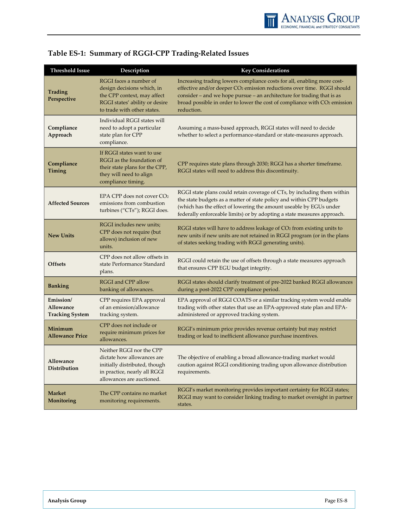| Threshold Issue                                  | Description                                                                                                                                          | <b>Key Considerations</b>                                                                                                                                                                                                                                                                                                                      |
|--------------------------------------------------|------------------------------------------------------------------------------------------------------------------------------------------------------|------------------------------------------------------------------------------------------------------------------------------------------------------------------------------------------------------------------------------------------------------------------------------------------------------------------------------------------------|
| Trading<br>Perspective                           | RGGI faces a number of<br>design decisions which, in<br>the CPP context, may affect<br>RGGI states' ability or desire<br>to trade with other states. | Increasing trading lowers compliance costs for all, enabling more cost-<br>effective and/or deeper CO <sub>2</sub> emission reductions over time. RGGI should<br>consider – and we hope pursue – an architecture for trading that is as<br>broad possible in order to lower the cost of compliance with CO <sub>2</sub> emission<br>reduction. |
| Compliance<br>Approach                           | Individual RGGI states will<br>need to adopt a particular<br>state plan for CPP<br>compliance.                                                       | Assuming a mass-based approach, RGGI states will need to decide<br>whether to select a performance-standard or state-measures approach.                                                                                                                                                                                                        |
| Compliance<br>Timing                             | If RGGI states want to use<br>RGGI as the foundation of<br>their state plans for the CPP,<br>they will need to align<br>compliance timing.           | CPP requires state plans through 2030; RGGI has a shorter timeframe.<br>RGGI states will need to address this discontinuity.                                                                                                                                                                                                                   |
| <b>Affected Sources</b>                          | EPA CPP does not cover CO <sub>2</sub><br>emissions from combustion<br>turbines ("CTs"); RGGI does.                                                  | RGGI state plans could retain coverage of CTs, by including them within<br>the state budgets as a matter of state policy and within CPP budgets<br>(which has the effect of lowering the amount useable by EGUs under<br>federally enforceable limits) or by adopting a state measures approach.                                               |
| <b>New Units</b>                                 | RGGI includes new units;<br>CPP does not require (but<br>allows) inclusion of new<br>units.                                                          | RGGI states will have to address leakage of CO2 from existing units to<br>new units if new units are not retained in RGGI program (or in the plans<br>of states seeking trading with RGGI generating units).                                                                                                                                   |
| <b>Offsets</b>                                   | CPP does not allow offsets in<br>state Performance Standard<br>plans.                                                                                | RGGI could retain the use of offsets through a state measures approach<br>that ensures CPP EGU budget integrity.                                                                                                                                                                                                                               |
| <b>Banking</b>                                   | RGGI and CPP allow<br>banking of allowances.                                                                                                         | RGGI states should clarify treatment of pre-2022 banked RGGI allowances<br>during a post-2022 CPP compliance period.                                                                                                                                                                                                                           |
| Emission/<br>Allowance<br><b>Tracking System</b> | CPP requires EPA approval<br>of an emission/allowance<br>tracking system.                                                                            | EPA approval of RGGI COATS or a similar tracking system would enable<br>trading with other states that use an EPA-approved state plan and EPA-<br>administered or approved tracking system.                                                                                                                                                    |
| Minimum<br>Allowance Price                       | CPP does not include or<br>require minimum prices for<br>allowances.                                                                                 | RGGI's minimum price provides revenue certainty but may restrict<br>trading or lead to inefficient allowance purchase incentives.                                                                                                                                                                                                              |
| Allowance<br>Distribution                        | Neither RGGI nor the CPP<br>dictate how allowances are<br>initially distributed, though<br>in practice, nearly all RGGI<br>allowances are auctioned. | The objective of enabling a broad allowance-trading market would<br>caution against RGGI conditioning trading upon allowance distribution<br>requirements.                                                                                                                                                                                     |
| Market<br>Monitoring                             | The CPP contains no market<br>monitoring requirements.                                                                                               | RGGI's market monitoring provides important certainty for RGGI states;<br>RGGI may want to consider linking trading to market oversight in partner<br>states.                                                                                                                                                                                  |

## **Table ES-1: Summary of RGGI-CPP Trading-Related Issues**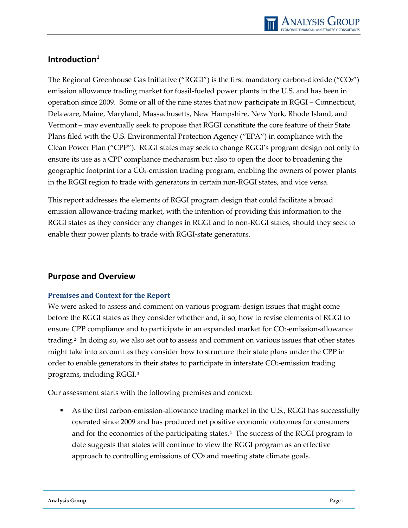

### <span id="page-11-0"></span>**Introduction[1](#page-39-0)**

The Regional Greenhouse Gas Initiative ("RGGI") is the first mandatory carbon-dioxide ("CO2") emission allowance trading market for fossil-fueled power plants in the U.S. and has been in operation since 2009. Some or all of the nine states that now participate in RGGI – Connecticut, Delaware, Maine, Maryland, Massachusetts, New Hampshire, New York, Rhode Island, and Vermont – may eventually seek to propose that RGGI constitute the core feature of their State Plans filed with the U.S. Environmental Protection Agency ("EPA") in compliance with the Clean Power Plan ("CPP"). RGGI states may seek to change RGGI's program design not only to ensure its use as a CPP compliance mechanism but also to open the door to broadening the geographic footprint for a CO2-emission trading program, enabling the owners of power plants in the RGGI region to trade with generators in certain non-RGGI states, and vice versa.

This report addresses the elements of RGGI program design that could facilitate a broad emission allowance-trading market, with the intention of providing this information to the RGGI states as they consider any changes in RGGI and to non-RGGI states, should they seek to enable their power plants to trade with RGGI-state generators.

#### <span id="page-11-1"></span>**Purpose and Overview**

#### <span id="page-11-2"></span>**Premises and Context for the Report**

We were asked to assess and comment on various program-design issues that might come before the RGGI states as they consider whether and, if so, how to revise elements of RGGI to ensure CPP compliance and to participate in an expanded market for CO2-emission-allowance trading.[2](#page-39-1) In doing so, we also set out to assess and comment on various issues that other states might take into account as they consider how to structure their state plans under the CPP in order to enable generators in their states to participate in interstate CO<sub>2</sub>-emission trading programs, including RGGI.[3](#page-39-2)

Our assessment starts with the following premises and context:

 As the first carbon-emission-allowance trading market in the U.S., RGGI has successfully operated since 2009 and has produced net positive economic outcomes for consumers and for the economies of the participating states.[4](#page-39-3) The success of the RGGI program to date suggests that states will continue to view the RGGI program as an effective approach to controlling emissions of CO<sub>2</sub> and meeting state climate goals.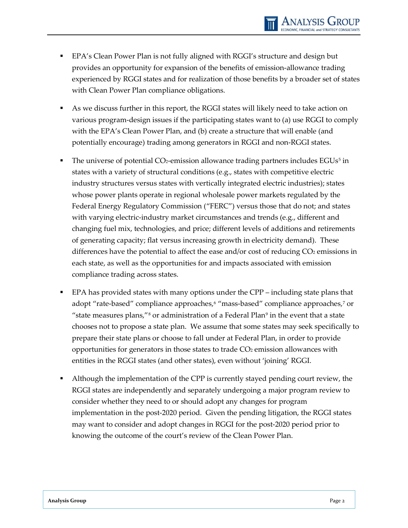- EPA's Clean Power Plan is not fully aligned with RGGI's structure and design but provides an opportunity for expansion of the benefits of emission-allowance trading experienced by RGGI states and for realization of those benefits by a broader set of states with Clean Power Plan compliance obligations.
- As we discuss further in this report, the RGGI states will likely need to take action on various program-design issues if the participating states want to (a) use RGGI to comply with the EPA's Clean Power Plan, and (b) create a structure that will enable (and potentially encourage) trading among generators in RGGI and non-RGGI states.
- The universe of potential CO<sub>2</sub>-emission allowance trading partners includes EGUs<sup>[5](#page-40-0)</sup> in states with a variety of structural conditions (e.g., states with competitive electric industry structures versus states with vertically integrated electric industries); states whose power plants operate in regional wholesale power markets regulated by the Federal Energy Regulatory Commission ("FERC") versus those that do not; and states with varying electric-industry market circumstances and trends (e.g., different and changing fuel mix, technologies, and price; different levels of additions and retirements of generating capacity; flat versus increasing growth in electricity demand). These differences have the potential to affect the ease and/or cost of reducing  $CO<sub>2</sub>$  emissions in each state, as well as the opportunities for and impacts associated with emission compliance trading across states.
- EPA has provided states with many options under the CPP including state plans that adopt "rate-based" compliance approaches,<sup>[6](#page-40-1)</sup> "mass-based" compliance approaches,<sup>[7](#page-40-2)</sup> or "state measures plans," $\frac{s}{s}$  or administration of a Federal Plan $\frac{s}{s}$  in the event that a state chooses not to propose a state plan. We assume that some states may seek specifically to prepare their state plans or choose to fall under at Federal Plan, in order to provide opportunities for generators in those states to trade  $CO<sub>2</sub>$  emission allowances with entities in the RGGI states (and other states), even without 'joining' RGGI.
- Although the implementation of the CPP is currently stayed pending court review, the RGGI states are independently and separately undergoing a major program review to consider whether they need to or should adopt any changes for program implementation in the post-2020 period. Given the pending litigation, the RGGI states may want to consider and adopt changes in RGGI for the post-2020 period prior to knowing the outcome of the court's review of the Clean Power Plan.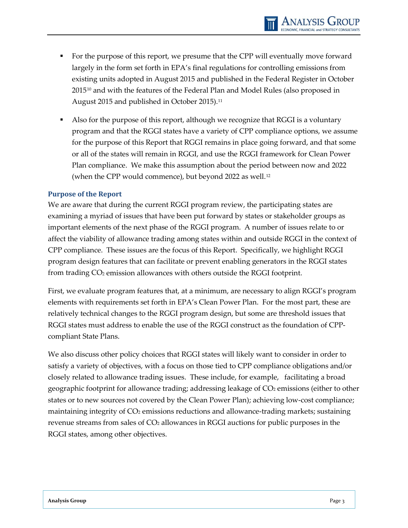- For the purpose of this report, we presume that the CPP will eventually move forward largely in the form set forth in EPA's final regulations for controlling emissions from existing units adopted in August 2015 and published in the Federal Register in October  $2015^{10}$  $2015^{10}$  $2015^{10}$  and with the features of the Federal Plan and Model Rules (also proposed in August 2015 and published in October 2015).<sup>11</sup>
- Also for the purpose of this report, although we recognize that RGGI is a voluntary program and that the RGGI states have a variety of CPP compliance options, we assume for the purpose of this Report that RGGI remains in place going forward, and that some or all of the states will remain in RGGI, and use the RGGI framework for Clean Power Plan compliance. We make this assumption about the period between now and 2022 (when the CPP would commence), but beyond 2022 as well.<sup>12</sup>

#### <span id="page-13-0"></span>**Purpose of the Report**

We are aware that during the current RGGI program review, the participating states are examining a myriad of issues that have been put forward by states or stakeholder groups as important elements of the next phase of the RGGI program. A number of issues relate to or affect the viability of allowance trading among states within and outside RGGI in the context of CPP compliance. These issues are the focus of this Report. Specifically, we highlight RGGI program design features that can facilitate or prevent enabling generators in the RGGI states from trading CO2 emission allowances with others outside the RGGI footprint.

First, we evaluate program features that, at a minimum, are necessary to align RGGI's program elements with requirements set forth in EPA's Clean Power Plan. For the most part, these are relatively technical changes to the RGGI program design, but some are threshold issues that RGGI states must address to enable the use of the RGGI construct as the foundation of CPPcompliant State Plans.

We also discuss other policy choices that RGGI states will likely want to consider in order to satisfy a variety of objectives, with a focus on those tied to CPP compliance obligations and/or closely related to allowance trading issues. These include, for example, facilitating a broad geographic footprint for allowance trading; addressing leakage of CO2 emissions (either to other states or to new sources not covered by the Clean Power Plan); achieving low-cost compliance; maintaining integrity of  $CO<sub>2</sub>$  emissions reductions and allowance-trading markets; sustaining revenue streams from sales of  $CO<sub>2</sub>$  allowances in RGGI auctions for public purposes in the RGGI states, among other objectives.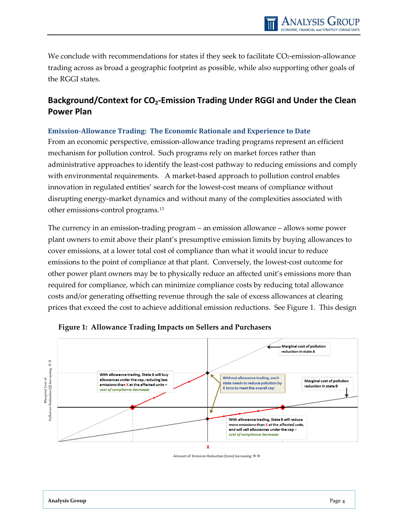We conclude with recommendations for states if they seek to facilitate CO2-emission-allowance trading across as broad a geographic footprint as possible, while also supporting other goals of the RGGI states.

## <span id="page-14-0"></span>Background/Context for CO<sub>2</sub>-Emission Trading Under RGGI and Under the Clean **Power Plan**

#### <span id="page-14-1"></span>**Emission-Allowance Trading: The Economic Rationale and Experience to Date**

From an economic perspective, emission-allowance trading programs represent an efficient mechanism for pollution control. Such programs rely on market forces rather than administrative approaches to identify the least-cost pathway to reducing emissions and comply with environmental requirements. A market-based approach to pollution control enables innovation in regulated entities' search for the lowest-cost means of compliance without disrupting energy-market dynamics and without many of the complexities associated with other emissions-control programs.[13](#page-41-3)

The currency in an emission-trading program – an emission allowance – allows some power plant owners to emit above their plant's presumptive emission limits by buying allowances to cover emissions, at a lower total cost of compliance than what it would incur to reduce emissions to the point of compliance at that plant. Conversely, the lowest-cost outcome for other power plant owners may be to physically reduce an affected unit's emissions more than required for compliance, which can minimize compliance costs by reducing total allowance costs and/or generating offsetting revenue through the sale of excess allowances at clearing prices that exceed the cost to achieve additional emission reductions. See Figure 1. This design



**Figure 1: Allowance Trading Impacts on Sellers and Purchasers**

Amount of Emission Reduction (tons) Increasing  $\rightarrow$   $\rightarrow$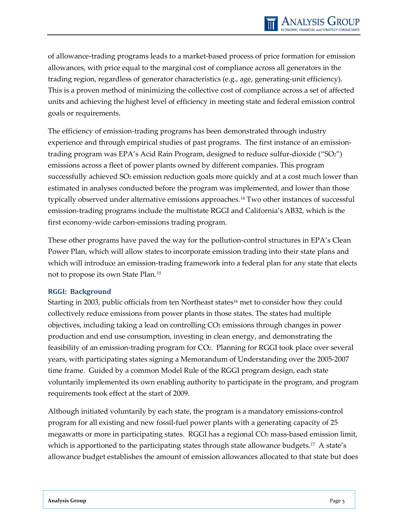of allowance-trading programs leads to a market-based process of price formation for emission allowances, with price equal to the marginal cost of compliance across all generators in the trading region, regardless of generator characteristics (e.g., age, generating-unit efficiency). This is a proven method of minimizing the collective cost of compliance across a set of affected units and achieving the highest level of efficiency in meeting state and federal emission control goals or requirements.

The efficiency of emission-trading programs has been demonstrated through industry experience and through empirical studies of past programs. The first instance of an emissiontrading program was EPA's Acid Rain Program, designed to reduce sulfur-dioxide ("SO2") emissions across a fleet of power plants owned by different companies. This program successfully achieved SO<sub>2</sub> emission reduction goals more quickly and at a cost much lower than estimated in analyses conducted before the program was implemented, and lower than those typically observed under alternative emissions approaches.[14](#page-42-0) Two other instances of successful emission-trading programs include the multistate RGGI and California's AB32, which is the first economy-wide carbon-emissions trading program.

These other programs have paved the way for the pollution-control structures in EPA's Clean Power Plan, which will allow states to incorporate emission trading into their state plans and which will introduce an emission-trading framework into a federal plan for any state that elects not to propose its own State Plan.[15](#page-42-1) 

#### <span id="page-15-0"></span>**RGGI: Background**

Starting in 2003, public officials from ten Northeast states<sup>[16](#page-42-2)</sup> met to consider how they could collectively reduce emissions from power plants in those states. The states had multiple objectives, including taking a lead on controlling  $CO<sub>2</sub>$  emissions through changes in power production and end use consumption, investing in clean energy, and demonstrating the feasibility of an emission-trading program for CO2. Planning for RGGI took place over several years, with participating states signing a Memorandum of Understanding over the 2005-2007 time frame. Guided by a common Model Rule of the RGGI program design, each state voluntarily implemented its own enabling authority to participate in the program, and program requirements took effect at the start of 2009.

Although initiated voluntarily by each state, the program is a mandatory emissions-control program for all existing and new fossil-fuel power plants with a generating capacity of 25 megawatts or more in participating states. RGGI has a regional CO2 mass-based emission limit, which is apportioned to the participating states through state allowance budgets.<sup>[17](#page-42-3)</sup> A state's allowance budget establishes the amount of emission allowances allocated to that state but does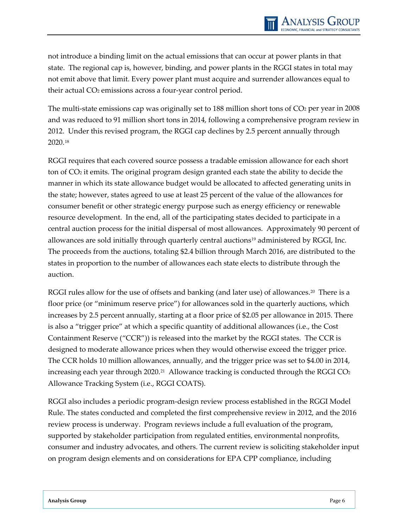not introduce a binding limit on the actual emissions that can occur at power plants in that state. The regional cap is, however, binding, and power plants in the RGGI states in total may not emit above that limit. Every power plant must acquire and surrender allowances equal to their actual CO<sub>2</sub> emissions across a four-year control period.

The multi-state emissions cap was originally set to 188 million short tons of  $CO<sub>2</sub>$  per year in 2008 and was reduced to 91 million short tons in 2014, following a comprehensive program review in 2012. Under this revised program, the RGGI cap declines by 2.5 percent annually through 2020.[18](#page-43-0)

RGGI requires that each covered source possess a tradable emission allowance for each short ton of CO2 it emits. The original program design granted each state the ability to decide the manner in which its state allowance budget would be allocated to affected generating units in the state; however, states agreed to use at least 25 percent of the value of the allowances for consumer benefit or other strategic energy purpose such as energy efficiency or renewable resource development. In the end, all of the participating states decided to participate in a central auction process for the initial dispersal of most allowances. Approximately 90 percent of allowances are sold initially through quarterly central auctions[19](#page-43-1) administered by RGGI, Inc. The proceeds from the auctions, totaling \$2.4 billion through March 2016, are distributed to the states in proportion to the number of allowances each state elects to distribute through the auction.

RGGI rules allow for the use of offsets and banking (and later use) of allowances.<sup>20</sup> There is a floor price (or "minimum reserve price") for allowances sold in the quarterly auctions, which increases by 2.5 percent annually, starting at a floor price of \$2.05 per allowance in 2015. There is also a "trigger price" at which a specific quantity of additional allowances (i.e., the Cost Containment Reserve ("CCR")) is released into the market by the RGGI states. The CCR is designed to moderate allowance prices when they would otherwise exceed the trigger price. The CCR holds 10 million allowances, annually, and the trigger price was set to \$4.00 in 2014, increasing each year through  $2020$ .<sup>[21](#page-43-3)</sup> Allowance tracking is conducted through the RGGI CO<sub>2</sub> Allowance Tracking System (i.e., RGGI COATS).

RGGI also includes a periodic program-design review process established in the RGGI Model Rule. The states conducted and completed the first comprehensive review in 2012, and the 2016 review process is underway. Program reviews include a full evaluation of the program, supported by stakeholder participation from regulated entities, environmental nonprofits, consumer and industry advocates, and others. The current review is soliciting stakeholder input on program design elements and on considerations for EPA CPP compliance, including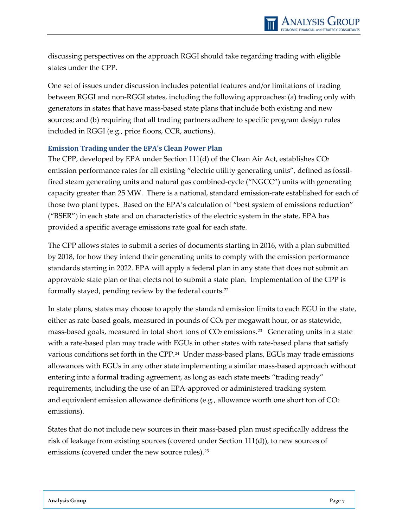discussing perspectives on the approach RGGI should take regarding trading with eligible states under the CPP.

One set of issues under discussion includes potential features and/or limitations of trading between RGGI and non-RGGI states, including the following approaches: (a) trading only with generators in states that have mass-based state plans that include both existing and new sources; and (b) requiring that all trading partners adhere to specific program design rules included in RGGI (e.g., price floors, CCR, auctions).

#### <span id="page-17-0"></span>**Emission Trading under the EPA's Clean Power Plan**

The CPP, developed by EPA under Section 111(d) of the Clean Air Act, establishes  $CO<sub>2</sub>$ emission performance rates for all existing "electric utility generating units", defined as fossilfired steam generating units and natural gas combined-cycle ("NGCC") units with generating capacity greater than 25 MW. There is a national, standard emission-rate established for each of those two plant types. Based on the EPA's calculation of "best system of emissions reduction" ("BSER") in each state and on characteristics of the electric system in the state, EPA has provided a specific average emissions rate goal for each state.

The CPP allows states to submit a series of documents starting in 2016, with a plan submitted by 2018, for how they intend their generating units to comply with the emission performance standards starting in 2022. EPA will apply a federal plan in any state that does not submit an approvable state plan or that elects not to submit a state plan. Implementation of the CPP is formally stayed, pending review by the federal courts.[22](#page-43-4)

In state plans, states may choose to apply the standard emission limits to each EGU in the state, either as rate-based goals, measured in pounds of  $CO<sub>2</sub>$  per megawatt hour, or as statewide, mass-based goals, measured in total short tons of  $CO<sub>2</sub>$  emissions.<sup>[23](#page-43-5)</sup> Generating units in a state with a rate-based plan may trade with EGUs in other states with rate-based plans that satisfy various conditions set forth in the CPP.[24](#page-43-6) Under mass-based plans, EGUs may trade emissions allowances with EGUs in any other state implementing a similar mass-based approach without entering into a formal trading agreement, as long as each state meets "trading ready" requirements, including the use of an EPA-approved or administered tracking system and equivalent emission allowance definitions (e.g., allowance worth one short ton of  $CO<sub>2</sub>$ emissions).

States that do not include new sources in their mass-based plan must specifically address the risk of leakage from existing sources (covered under Section 111(d)), to new sources of emissions (covered under the new source rules).<sup>[25](#page-43-7)</sup>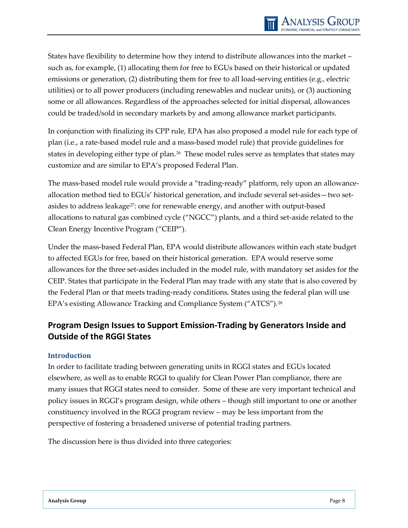States have flexibility to determine how they intend to distribute allowances into the market – such as, for example, (1) allocating them for free to EGUs based on their historical or updated emissions or generation, (2) distributing them for free to all load-serving entities (e.g., electric utilities) or to all power producers (including renewables and nuclear units), or (3) auctioning some or all allowances. Regardless of the approaches selected for initial dispersal, allowances could be traded/sold in secondary markets by and among allowance market participants.

In conjunction with finalizing its CPP rule, EPA has also proposed a model rule for each type of plan (i.e., a rate-based model rule and a mass-based model rule) that provide guidelines for states in developing either type of plan.[26](#page-43-8) These model rules serve as templates that states may customize and are similar to EPA's proposed Federal Plan.

The mass-based model rule would provide a "trading-ready" platform, rely upon an allowanceallocation method tied to EGUs' historical generation, and include several set-asides—two setasides to address leakage[27:](#page-43-9) one for renewable energy, and another with output-based allocations to natural gas combined cycle ("NGCC") plants, and a third set-aside related to the Clean Energy Incentive Program ("CEIP").

Under the mass-based Federal Plan, EPA would distribute allowances within each state budget to affected EGUs for free, based on their historical generation. EPA would reserve some allowances for the three set-asides included in the model rule, with mandatory set asides for the CEIP. States that participate in the Federal Plan may trade with any state that is also covered by the Federal Plan or that meets trading-ready conditions. States using the federal plan will use EPA's existing Allowance Tracking and Compliance System ("ATCS").[28](#page-43-10)

## <span id="page-18-0"></span>**Program Design Issues to Support Emission-Trading by Generators Inside and Outside of the RGGI States**

#### <span id="page-18-1"></span>**Introduction**

In order to facilitate trading between generating units in RGGI states and EGUs located elsewhere, as well as to enable RGGI to qualify for Clean Power Plan compliance, there are many issues that RGGI states need to consider. Some of these are very important technical and policy issues in RGGI's program design, while others – though still important to one or another constituency involved in the RGGI program review – may be less important from the perspective of fostering a broadened universe of potential trading partners.

The discussion here is thus divided into three categories: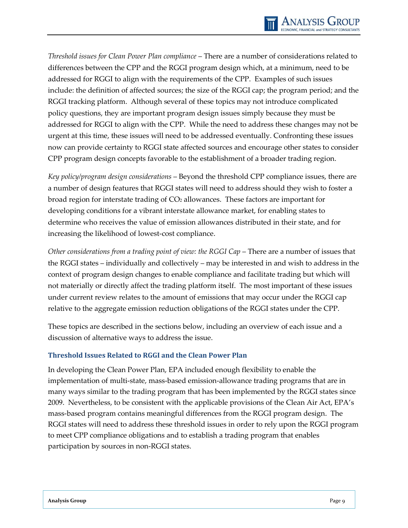*Threshold issues for Clean Power Plan compliance* – There are a number of considerations related to differences between the CPP and the RGGI program design which, at a minimum, need to be addressed for RGGI to align with the requirements of the CPP. Examples of such issues include: the definition of affected sources; the size of the RGGI cap; the program period; and the RGGI tracking platform. Although several of these topics may not introduce complicated policy questions, they are important program design issues simply because they must be addressed for RGGI to align with the CPP. While the need to address these changes may not be urgent at this time, these issues will need to be addressed eventually. Confronting these issues now can provide certainty to RGGI state affected sources and encourage other states to consider CPP program design concepts favorable to the establishment of a broader trading region.

*Key policy/program design considerations* – Beyond the threshold CPP compliance issues, there are a number of design features that RGGI states will need to address should they wish to foster a broad region for interstate trading of CO2 allowances. These factors are important for developing conditions for a vibrant interstate allowance market, for enabling states to determine who receives the value of emission allowances distributed in their state, and for increasing the likelihood of lowest-cost compliance.

*Other considerations from a trading point of view: the RGGI Cap* – There are a number of issues that the RGGI states – individually and collectively – may be interested in and wish to address in the context of program design changes to enable compliance and facilitate trading but which will not materially or directly affect the trading platform itself. The most important of these issues under current review relates to the amount of emissions that may occur under the RGGI cap relative to the aggregate emission reduction obligations of the RGGI states under the CPP.

These topics are described in the sections below, including an overview of each issue and a discussion of alternative ways to address the issue.

#### <span id="page-19-0"></span>**Threshold Issues Related to RGGI and the Clean Power Plan**

In developing the Clean Power Plan, EPA included enough flexibility to enable the implementation of multi-state, mass-based emission-allowance trading programs that are in many ways similar to the trading program that has been implemented by the RGGI states since 2009. Nevertheless, to be consistent with the applicable provisions of the Clean Air Act, EPA's mass-based program contains meaningful differences from the RGGI program design. The RGGI states will need to address these threshold issues in order to rely upon the RGGI program to meet CPP compliance obligations and to establish a trading program that enables participation by sources in non-RGGI states.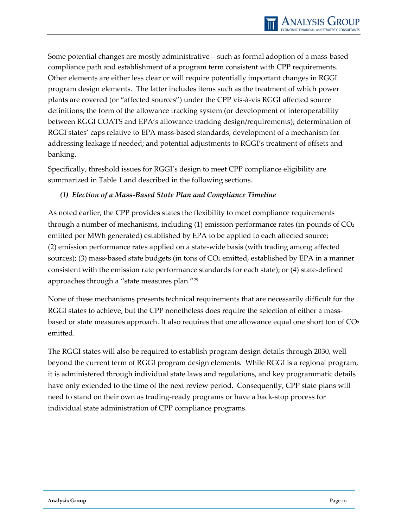Some potential changes are mostly administrative – such as formal adoption of a mass-based compliance path and establishment of a program term consistent with CPP requirements. Other elements are either less clear or will require potentially important changes in RGGI program design elements. The latter includes items such as the treatment of which power plants are covered (or "affected sources") under the CPP vis-à-vis RGGI affected source definitions; the form of the allowance tracking system (or development of interoperability between RGGI COATS and EPA's allowance tracking design/requirements); determination of RGGI states' caps relative to EPA mass-based standards; development of a mechanism for addressing leakage if needed; and potential adjustments to RGGI's treatment of offsets and banking.

Specifically, threshold issues for RGGI's design to meet CPP compliance eligibility are summarized in Table 1 and described in the following sections.

#### *(1) Election of a Mass-Based State Plan and Compliance Timeline*

As noted earlier, the CPP provides states the flexibility to meet compliance requirements through a number of mechanisms, including  $(1)$  emission performance rates (in pounds of  $CO<sub>2</sub>$ emitted per MWh generated) established by EPA to be applied to each affected source; (2) emission performance rates applied on a state-wide basis (with trading among affected sources); (3) mass-based state budgets (in tons of CO<sub>2</sub> emitted, established by EPA in a manner consistent with the emission rate performance standards for each state); or (4) state-defined approaches through a "state measures plan."[29](#page-43-11) 

None of these mechanisms presents technical requirements that are necessarily difficult for the RGGI states to achieve, but the CPP nonetheless does require the selection of either a massbased or state measures approach. It also requires that one allowance equal one short ton of  $CO<sub>2</sub>$ emitted.

The RGGI states will also be required to establish program design details through 2030, well beyond the current term of RGGI program design elements. While RGGI is a regional program, it is administered through individual state laws and regulations, and key programmatic details have only extended to the time of the next review period. Consequently, CPP state plans will need to stand on their own as trading-ready programs or have a back-stop process for individual state administration of CPP compliance programs.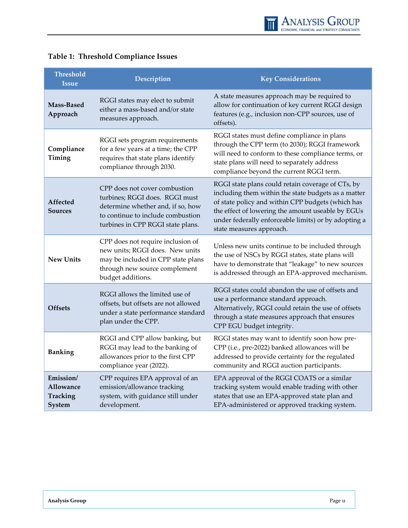| <b>Threshold</b><br><b>Issue</b>             | Description                                                                                                                                                                    | <b>Key Considerations</b>                                                                                                                                                                                                                                                                              |
|----------------------------------------------|--------------------------------------------------------------------------------------------------------------------------------------------------------------------------------|--------------------------------------------------------------------------------------------------------------------------------------------------------------------------------------------------------------------------------------------------------------------------------------------------------|
| Mass-Based<br>Approach                       | RGGI states may elect to submit<br>either a mass-based and/or state<br>measures approach.                                                                                      | A state measures approach may be required to<br>allow for continuation of key current RGGI design<br>features (e.g., inclusion non-CPP sources, use of<br>offsets).                                                                                                                                    |
| Compliance<br>Timing                         | RGGI sets program requirements<br>for a few years at a time; the CPP<br>requires that state plans identify<br>compliance through 2030.                                         | RGGI states must define compliance in plans<br>through the CPP term (to 2030); RGGI framework<br>will need to conform to these compliance terms, or<br>state plans will need to separately address<br>compliance beyond the current RGGI term.                                                         |
| Affected<br>Sources                          | CPP does not cover combustion<br>turbines; RGGI does. RGGI must<br>determine whether and, if so, how<br>to continue to include combustion<br>turbines in CPP RGGI state plans. | RGGI state plans could retain coverage of CTs, by<br>including them within the state budgets as a matter<br>of state policy and within CPP budgets (which has<br>the effect of lowering the amount useable by EGUs<br>under federally enforceable limits) or by adopting a<br>state measures approach. |
| <b>New Units</b>                             | CPP does not require inclusion of<br>new units; RGGI does. New units<br>may be included in CPP state plans<br>through new source complement<br>budget additions.               | Unless new units continue to be included through<br>the use of NSCs by RGGI states, state plans will<br>have to demonstrate that "leakage" to new sources<br>is addressed through an EPA-approved mechanism.                                                                                           |
| <b>Offsets</b>                               | RGGI allows the limited use of<br>offsets, but offsets are not allowed<br>under a state performance standard<br>plan under the CPP.                                            | RGGI states could abandon the use of offsets and<br>use a performance standard approach.<br>Alternatively, RGGI could retain the use of offsets<br>through a state measures approach that ensures<br>CPP EGU budget integrity.                                                                         |
| <b>Banking</b>                               | RGGI and CPP allow banking, but<br>RGGI may lead to the banking of<br>allowances prior to the first CPP<br>compliance year (2022).                                             | RGGI states may want to identify soon how pre-<br>CPP (i.e., pre-2022) banked allowances will be<br>addressed to provide certainty for the regulated<br>community and RGGI auction participants.                                                                                                       |
| Emission/<br>Allowance<br>Tracking<br>System | CPP requires EPA approval of an<br>emission/allowance tracking<br>system, with guidance still under<br>development.                                                            | EPA approval of the RGGI COATS or a similar<br>tracking system would enable trading with other<br>states that use an EPA-approved state plan and<br>EPA-administered or approved tracking system.                                                                                                      |

## **Table 1: Threshold Compliance Issues**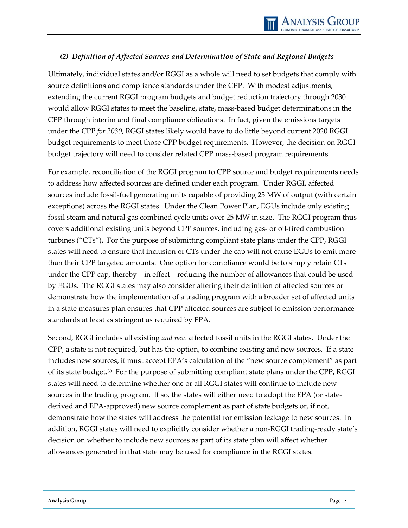#### *(2) Definition of Affected Sources and Determination of State and Regional Budgets*

Ultimately, individual states and/or RGGI as a whole will need to set budgets that comply with source definitions and compliance standards under the CPP. With modest adjustments, extending the current RGGI program budgets and budget reduction trajectory through 2030 would allow RGGI states to meet the baseline, state, mass-based budget determinations in the CPP through interim and final compliance obligations. In fact, given the emissions targets under the CPP *for 2030*, RGGI states likely would have to do little beyond current 2020 RGGI budget requirements to meet those CPP budget requirements. However, the decision on RGGI budget trajectory will need to consider related CPP mass-based program requirements.

For example, reconciliation of the RGGI program to CPP source and budget requirements needs to address how affected sources are defined under each program. Under RGGI, affected sources include fossil-fuel generating units capable of providing 25 MW of output (with certain exceptions) across the RGGI states. Under the Clean Power Plan, EGUs include only existing fossil steam and natural gas combined cycle units over 25 MW in size. The RGGI program thus covers additional existing units beyond CPP sources, including gas- or oil-fired combustion turbines ("CTs"). For the purpose of submitting compliant state plans under the CPP, RGGI states will need to ensure that inclusion of CTs under the cap will not cause EGUs to emit more than their CPP targeted amounts. One option for compliance would be to simply retain CTs under the CPP cap, thereby – in effect – reducing the number of allowances that could be used by EGUs. The RGGI states may also consider altering their definition of affected sources or demonstrate how the implementation of a trading program with a broader set of affected units in a state measures plan ensures that CPP affected sources are subject to emission performance standards at least as stringent as required by EPA.

Second, RGGI includes all existing *and new* affected fossil units in the RGGI states. Under the CPP, a state is not required, but has the option, to combine existing and new sources. If a state includes new sources, it must accept EPA's calculation of the "new source complement" as part of its state budget.<sup>[30](#page-43-12)</sup> For the purpose of submitting compliant state plans under the CPP, RGGI states will need to determine whether one or all RGGI states will continue to include new sources in the trading program. If so, the states will either need to adopt the EPA (or statederived and EPA-approved) new source complement as part of state budgets or, if not, demonstrate how the states will address the potential for emission leakage to new sources. In addition, RGGI states will need to explicitly consider whether a non-RGGI trading-ready state's decision on whether to include new sources as part of its state plan will affect whether allowances generated in that state may be used for compliance in the RGGI states.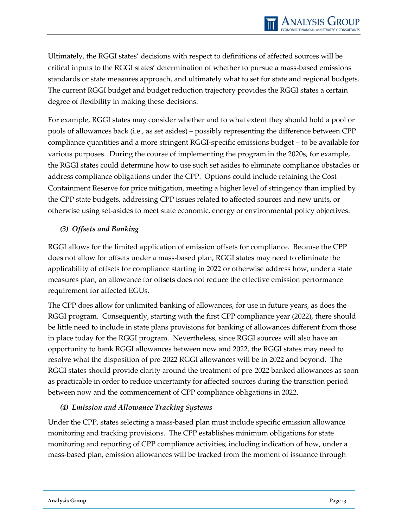Ultimately, the RGGI states' decisions with respect to definitions of affected sources will be critical inputs to the RGGI states' determination of whether to pursue a mass-based emissions standards or state measures approach, and ultimately what to set for state and regional budgets. The current RGGI budget and budget reduction trajectory provides the RGGI states a certain degree of flexibility in making these decisions.

For example, RGGI states may consider whether and to what extent they should hold a pool or pools of allowances back (i.e., as set asides) – possibly representing the difference between CPP compliance quantities and a more stringent RGGI-specific emissions budget – to be available for various purposes. During the course of implementing the program in the 2020s, for example, the RGGI states could determine how to use such set asides to eliminate compliance obstacles or address compliance obligations under the CPP. Options could include retaining the Cost Containment Reserve for price mitigation, meeting a higher level of stringency than implied by the CPP state budgets, addressing CPP issues related to affected sources and new units, or otherwise using set-asides to meet state economic, energy or environmental policy objectives.

#### *(3) Offsets and Banking*

RGGI allows for the limited application of emission offsets for compliance. Because the CPP does not allow for offsets under a mass-based plan, RGGI states may need to eliminate the applicability of offsets for compliance starting in 2022 or otherwise address how, under a state measures plan, an allowance for offsets does not reduce the effective emission performance requirement for affected EGUs.

The CPP does allow for unlimited banking of allowances, for use in future years, as does the RGGI program. Consequently, starting with the first CPP compliance year (2022), there should be little need to include in state plans provisions for banking of allowances different from those in place today for the RGGI program. Nevertheless, since RGGI sources will also have an opportunity to bank RGGI allowances between now and 2022, the RGGI states may need to resolve what the disposition of pre-2022 RGGI allowances will be in 2022 and beyond. The RGGI states should provide clarity around the treatment of pre-2022 banked allowances as soon as practicable in order to reduce uncertainty for affected sources during the transition period between now and the commencement of CPP compliance obligations in 2022.

#### *(4) Emission and Allowance Tracking Systems*

Under the CPP, states selecting a mass-based plan must include specific emission allowance monitoring and tracking provisions. The CPP establishes minimum obligations for state monitoring and reporting of CPP compliance activities, including indication of how, under a mass-based plan, emission allowances will be tracked from the moment of issuance through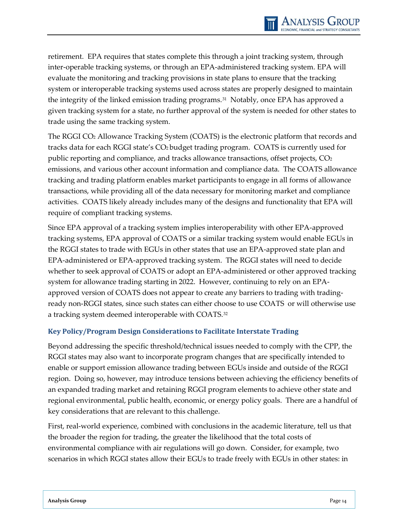retirement. EPA requires that states complete this through a joint tracking system, through inter-operable tracking systems, or through an EPA-administered tracking system. EPA will evaluate the monitoring and tracking provisions in state plans to ensure that the tracking system or interoperable tracking systems used across states are properly designed to maintain the integrity of the linked emission trading programs.[31](#page-43-13) Notably, once EPA has approved a given tracking system for a state, no further approval of the system is needed for other states to trade using the same tracking system.

The RGGI CO2 Allowance Tracking System (COATS) is the electronic platform that records and tracks data for each RGGI state's CO2 budget trading program. COATS is currently used for public reporting and compliance, and tracks allowance transactions, offset projects, CO2 emissions, and various other account information and compliance data. The COATS allowance tracking and trading platform enables market participants to engage in all forms of allowance transactions, while providing all of the data necessary for monitoring market and compliance activities. COATS likely already includes many of the designs and functionality that EPA will require of compliant tracking systems.

Since EPA approval of a tracking system implies interoperability with other EPA-approved tracking systems, EPA approval of COATS or a similar tracking system would enable EGUs in the RGGI states to trade with EGUs in other states that use an EPA-approved state plan and EPA-administered or EPA-approved tracking system. The RGGI states will need to decide whether to seek approval of COATS or adopt an EPA-administered or other approved tracking system for allowance trading starting in 2022. However, continuing to rely on an EPAapproved version of COATS does not appear to create any barriers to trading with tradingready non-RGGI states, since such states can either choose to use COATS or will otherwise use a tracking system deemed interoperable with COATS.[32](#page-43-3)

#### <span id="page-24-0"></span>**Key Policy/Program Design Considerations to Facilitate Interstate Trading**

Beyond addressing the specific threshold/technical issues needed to comply with the CPP, the RGGI states may also want to incorporate program changes that are specifically intended to enable or support emission allowance trading between EGUs inside and outside of the RGGI region. Doing so, however, may introduce tensions between achieving the efficiency benefits of an expanded trading market and retaining RGGI program elements to achieve other state and regional environmental, public health, economic, or energy policy goals. There are a handful of key considerations that are relevant to this challenge.

First, real-world experience, combined with conclusions in the academic literature, tell us that the broader the region for trading, the greater the likelihood that the total costs of environmental compliance with air regulations will go down. Consider, for example, two scenarios in which RGGI states allow their EGUs to trade freely with EGUs in other states: in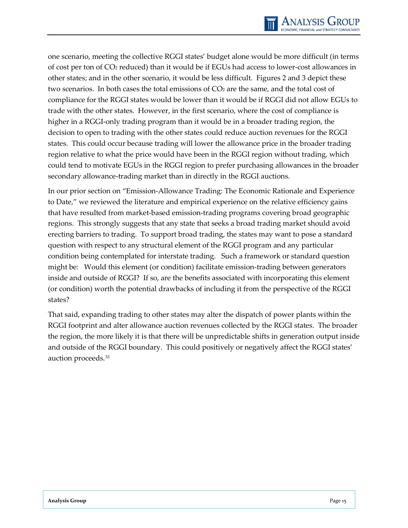

one scenario, meeting the collective RGGI states' budget alone would be more difficult (in terms of cost per ton of CO2 reduced) than it would be if EGUs had access to lower-cost allowances in other states; and in the other scenario, it would be less difficult. Figures 2 and 3 depict these two scenarios. In both cases the total emissions of  $CO<sub>2</sub>$  are the same, and the total cost of compliance for the RGGI states would be lower than it would be if RGGI did not allow EGUs to trade with the other states. However, in the first scenario, where the cost of compliance is higher in a RGGI-only trading program than it would be in a broader trading region, the decision to open to trading with the other states could reduce auction revenues for the RGGI states. This could occur because trading will lower the allowance price in the broader trading region relative to what the price would have been in the RGGI region without trading, which could tend to motivate EGUs in the RGGI region to prefer purchasing allowances in the broader secondary allowance-trading market than in directly in the RGGI auctions.

In our prior section on "Emission-Allowance Trading: The Economic Rationale and Experience to Date," we reviewed the literature and empirical experience on the relative efficiency gains that have resulted from market-based emission-trading programs covering broad geographic regions. This strongly suggests that any state that seeks a broad trading market should avoid erecting barriers to trading. To support broad trading, the states may want to pose a standard question with respect to any structural element of the RGGI program and any particular condition being contemplated for interstate trading. Such a framework or standard question might be: Would this element (or condition) facilitate emission-trading between generators inside and outside of RGGI? If so, are the benefits associated with incorporating this element (or condition) worth the potential drawbacks of including it from the perspective of the RGGI states?

That said, expanding trading to other states may alter the dispatch of power plants within the RGGI footprint and alter allowance auction revenues collected by the RGGI states. The broader the region, the more likely it is that there will be unpredictable shifts in generation output inside and outside of the RGGI boundary. This could positively or negatively affect the RGGI states' auction proceeds.[33](#page-43-14)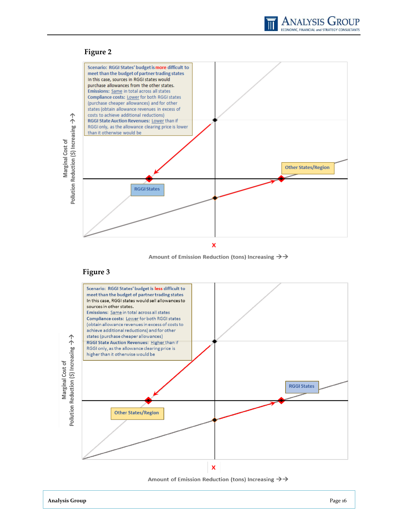

#### **Figure 2**



Amount of Emission Reduction (tons) Increasing  $\rightarrow \rightarrow$ 

#### **Figure 3**



Amount of Emission Reduction (tons) Increasing  $\rightarrow$   $\rightarrow$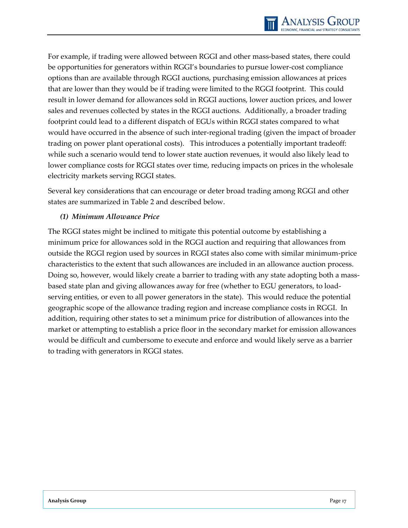For example, if trading were allowed between RGGI and other mass-based states, there could be opportunities for generators within RGGI's boundaries to pursue lower-cost compliance options than are available through RGGI auctions, purchasing emission allowances at prices that are lower than they would be if trading were limited to the RGGI footprint. This could result in lower demand for allowances sold in RGGI auctions, lower auction prices, and lower sales and revenues collected by states in the RGGI auctions. Additionally, a broader trading footprint could lead to a different dispatch of EGUs within RGGI states compared to what would have occurred in the absence of such inter-regional trading (given the impact of broader trading on power plant operational costs). This introduces a potentially important tradeoff: while such a scenario would tend to lower state auction revenues, it would also likely lead to lower compliance costs for RGGI states over time, reducing impacts on prices in the wholesale electricity markets serving RGGI states.

Several key considerations that can encourage or deter broad trading among RGGI and other states are summarized in Table 2 and described below.

#### *(1) Minimum Allowance Price*

The RGGI states might be inclined to mitigate this potential outcome by establishing a minimum price for allowances sold in the RGGI auction and requiring that allowances from outside the RGGI region used by sources in RGGI states also come with similar minimum-price characteristics to the extent that such allowances are included in an allowance auction process. Doing so, however, would likely create a barrier to trading with any state adopting both a massbased state plan and giving allowances away for free (whether to EGU generators, to loadserving entities, or even to all power generators in the state). This would reduce the potential geographic scope of the allowance trading region and increase compliance costs in RGGI. In addition, requiring other states to set a minimum price for distribution of allowances into the market or attempting to establish a price floor in the secondary market for emission allowances would be difficult and cumbersome to execute and enforce and would likely serve as a barrier to trading with generators in RGGI states.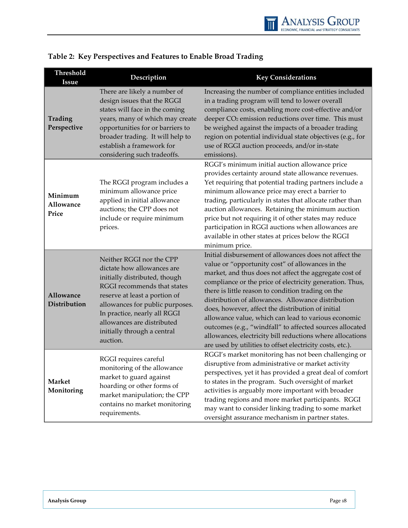

| Threshold<br><b>Issue</b>     | Description                                                                                                                                                                                                                                                                                         | <b>Key Considerations</b>                                                                                                                                                                                                                                                                                                                                                                                                                                                                                                                                                                                                                      |
|-------------------------------|-----------------------------------------------------------------------------------------------------------------------------------------------------------------------------------------------------------------------------------------------------------------------------------------------------|------------------------------------------------------------------------------------------------------------------------------------------------------------------------------------------------------------------------------------------------------------------------------------------------------------------------------------------------------------------------------------------------------------------------------------------------------------------------------------------------------------------------------------------------------------------------------------------------------------------------------------------------|
| Trading<br>Perspective        | There are likely a number of<br>design issues that the RGGI<br>states will face in the coming<br>years, many of which may create<br>opportunities for or barriers to<br>broader trading. It will help to<br>establish a framework for<br>considering such tradeoffs.                                | Increasing the number of compliance entities included<br>in a trading program will tend to lower overall<br>compliance costs, enabling more cost-effective and/or<br>deeper CO <sub>2</sub> emission reductions over time. This must<br>be weighed against the impacts of a broader trading<br>region on potential individual state objectives (e.g., for<br>use of RGGI auction proceeds, and/or in-state<br>emissions).                                                                                                                                                                                                                      |
| Minimum<br>Allowance<br>Price | The RGGI program includes a<br>minimum allowance price<br>applied in initial allowance<br>auctions; the CPP does not<br>include or require minimum<br>prices.                                                                                                                                       | RGGI's minimum initial auction allowance price<br>provides certainty around state allowance revenues.<br>Yet requiring that potential trading partners include a<br>minimum allowance price may erect a barrier to<br>trading, particularly in states that allocate rather than<br>auction allowances. Retaining the minimum auction<br>price but not requiring it of other states may reduce<br>participation in RGGI auctions when allowances are<br>available in other states at prices below the RGGI<br>minimum price.                                                                                                                    |
| Allowance<br>Distribution     | Neither RGGI nor the CPP<br>dictate how allowances are<br>initially distributed, though<br>RGGI recommends that states<br>reserve at least a portion of<br>allowances for public purposes.<br>In practice, nearly all RGGI<br>allowances are distributed<br>initially through a central<br>auction. | Initial disbursement of allowances does not affect the<br>value or "opportunity cost" of allowances in the<br>market, and thus does not affect the aggregate cost of<br>compliance or the price of electricity generation. Thus,<br>there is little reason to condition trading on the<br>distribution of allowances. Allowance distribution<br>does, however, affect the distribution of initial<br>allowance value, which can lead to various economic<br>outcomes (e.g., "windfall" to affected sources allocated<br>allowances, electricity bill reductions where allocations<br>are used by utilities to offset electricity costs, etc.). |
| <b>Market</b><br>Monitoring   | RGGI requires careful<br>monitoring of the allowance<br>market to guard against<br>hoarding or other forms of<br>market manipulation; the CPP<br>contains no market monitoring<br>requirements.                                                                                                     | RGGI's market monitoring has not been challenging or<br>disruptive from administrative or market activity<br>perspectives, yet it has provided a great deal of comfort<br>to states in the program. Such oversight of market<br>activities is arguably more important with broader<br>trading regions and more market participants. RGGI<br>may want to consider linking trading to some market<br>oversight assurance mechanism in partner states.                                                                                                                                                                                            |

## **Table 2: Key Perspectives and Features to Enable Broad Trading**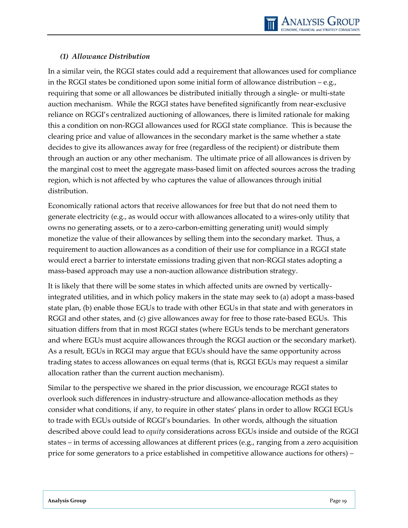#### *(1) Allowance Distribution*

In a similar vein, the RGGI states could add a requirement that allowances used for compliance in the RGGI states be conditioned upon some initial form of allowance distribution – e.g., requiring that some or all allowances be distributed initially through a single- or multi-state auction mechanism. While the RGGI states have benefited significantly from near-exclusive reliance on RGGI's centralized auctioning of allowances, there is limited rationale for making this a condition on non-RGGI allowances used for RGGI state compliance. This is because the clearing price and value of allowances in the secondary market is the same whether a state decides to give its allowances away for free (regardless of the recipient) or distribute them through an auction or any other mechanism. The ultimate price of all allowances is driven by the marginal cost to meet the aggregate mass-based limit on affected sources across the trading region, which is not affected by who captures the value of allowances through initial distribution.

Economically rational actors that receive allowances for free but that do not need them to generate electricity (e.g., as would occur with allowances allocated to a wires-only utility that owns no generating assets, or to a zero-carbon-emitting generating unit) would simply monetize the value of their allowances by selling them into the secondary market. Thus, a requirement to auction allowances as a condition of their use for compliance in a RGGI state would erect a barrier to interstate emissions trading given that non-RGGI states adopting a mass-based approach may use a non-auction allowance distribution strategy.

It is likely that there will be some states in which affected units are owned by verticallyintegrated utilities, and in which policy makers in the state may seek to (a) adopt a mass-based state plan, (b) enable those EGUs to trade with other EGUs in that state and with generators in RGGI and other states, and (c) give allowances away for free to those rate-based EGUs. This situation differs from that in most RGGI states (where EGUs tends to be merchant generators and where EGUs must acquire allowances through the RGGI auction or the secondary market). As a result, EGUs in RGGI may argue that EGUs should have the same opportunity across trading states to access allowances on equal terms (that is, RGGI EGUs may request a similar allocation rather than the current auction mechanism).

Similar to the perspective we shared in the prior discussion, we encourage RGGI states to overlook such differences in industry-structure and allowance-allocation methods as they consider what conditions, if any, to require in other states' plans in order to allow RGGI EGUs to trade with EGUs outside of RGGI's boundaries. In other words, although the situation described above could lead to *equity* considerations across EGUs inside and outside of the RGGI states – in terms of accessing allowances at different prices (e.g., ranging from a zero acquisition price for some generators to a price established in competitive allowance auctions for others) –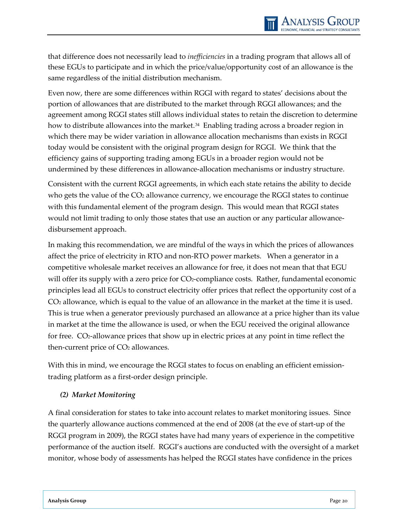that difference does not necessarily lead to *inefficiencies* in a trading program that allows all of these EGUs to participate and in which the price/value/opportunity cost of an allowance is the same regardless of the initial distribution mechanism.

Even now, there are some differences within RGGI with regard to states' decisions about the portion of allowances that are distributed to the market through RGGI allowances; and the agreement among RGGI states still allows individual states to retain the discretion to determine how to distribute allowances into the market.<sup>34</sup> Enabling trading across a broader region in which there may be wider variation in allowance allocation mechanisms than exists in RGGI today would be consistent with the original program design for RGGI. We think that the efficiency gains of supporting trading among EGUs in a broader region would not be undermined by these differences in allowance-allocation mechanisms or industry structure.

Consistent with the current RGGI agreements, in which each state retains the ability to decide who gets the value of the  $CO<sub>2</sub>$  allowance currency, we encourage the RGGI states to continue with this fundamental element of the program design. This would mean that RGGI states would not limit trading to only those states that use an auction or any particular allowancedisbursement approach.

In making this recommendation, we are mindful of the ways in which the prices of allowances affect the price of electricity in RTO and non-RTO power markets. When a generator in a competitive wholesale market receives an allowance for free, it does not mean that that EGU will offer its supply with a zero price for CO2-compliance costs. Rather, fundamental economic principles lead all EGUs to construct electricity offer prices that reflect the opportunity cost of a CO2 allowance, which is equal to the value of an allowance in the market at the time it is used. This is true when a generator previously purchased an allowance at a price higher than its value in market at the time the allowance is used, or when the EGU received the original allowance for free. CO<sub>2</sub>-allowance prices that show up in electric prices at any point in time reflect the then-current price of CO<sub>2</sub> allowances.

With this in mind, we encourage the RGGI states to focus on enabling an efficient emissiontrading platform as a first-order design principle.

#### *(2) Market Monitoring*

A final consideration for states to take into account relates to market monitoring issues. Since the quarterly allowance auctions commenced at the end of 2008 (at the eve of start-up of the RGGI program in 2009), the RGGI states have had many years of experience in the competitive performance of the auction itself. RGGI's auctions are conducted with the oversight of a market monitor, whose body of assessments has helped the RGGI states have confidence in the prices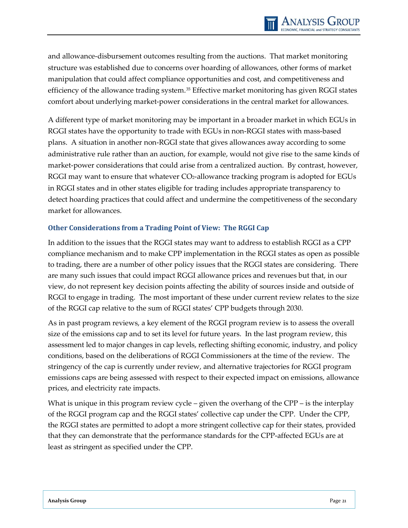and allowance-disbursement outcomes resulting from the auctions. That market monitoring structure was established due to concerns over hoarding of allowances, other forms of market manipulation that could affect compliance opportunities and cost, and competitiveness and efficiency of the allowance trading system.<sup>35</sup> Effective market monitoring has given RGGI states comfort about underlying market-power considerations in the central market for allowances.

A different type of market monitoring may be important in a broader market in which EGUs in RGGI states have the opportunity to trade with EGUs in non-RGGI states with mass-based plans. A situation in another non-RGGI state that gives allowances away according to some administrative rule rather than an auction, for example, would not give rise to the same kinds of market-power considerations that could arise from a centralized auction. By contrast, however, RGGI may want to ensure that whatever CO2-allowance tracking program is adopted for EGUs in RGGI states and in other states eligible for trading includes appropriate transparency to detect hoarding practices that could affect and undermine the competitiveness of the secondary market for allowances.

#### <span id="page-31-0"></span>**Other Considerations from a Trading Point of View: The RGGI Cap**

In addition to the issues that the RGGI states may want to address to establish RGGI as a CPP compliance mechanism and to make CPP implementation in the RGGI states as open as possible to trading, there are a number of other policy issues that the RGGI states are considering. There are many such issues that could impact RGGI allowance prices and revenues but that, in our view, do not represent key decision points affecting the ability of sources inside and outside of RGGI to engage in trading. The most important of these under current review relates to the size of the RGGI cap relative to the sum of RGGI states' CPP budgets through 2030.

As in past program reviews, a key element of the RGGI program review is to assess the overall size of the emissions cap and to set its level for future years. In the last program review, this assessment led to major changes in cap levels, reflecting shifting economic, industry, and policy conditions, based on the deliberations of RGGI Commissioners at the time of the review. The stringency of the cap is currently under review, and alternative trajectories for RGGI program emissions caps are being assessed with respect to their expected impact on emissions, allowance prices, and electricity rate impacts.

What is unique in this program review cycle – given the overhang of the CPP – is the interplay of the RGGI program cap and the RGGI states' collective cap under the CPP. Under the CPP, the RGGI states are permitted to adopt a more stringent collective cap for their states, provided that they can demonstrate that the performance standards for the CPP-affected EGUs are at least as stringent as specified under the CPP.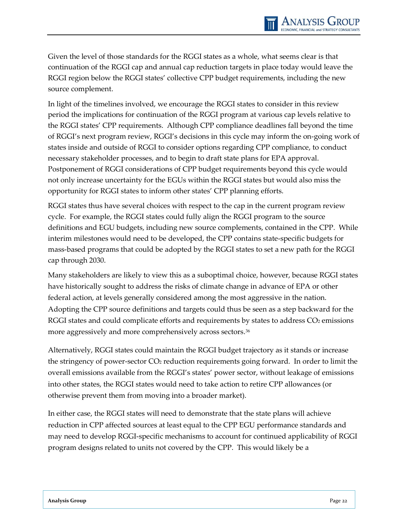Given the level of those standards for the RGGI states as a whole, what seems clear is that continuation of the RGGI cap and annual cap reduction targets in place today would leave the RGGI region below the RGGI states' collective CPP budget requirements, including the new source complement.

In light of the timelines involved, we encourage the RGGI states to consider in this review period the implications for continuation of the RGGI program at various cap levels relative to the RGGI states' CPP requirements. Although CPP compliance deadlines fall beyond the time of RGGI's next program review, RGGI's decisions in this cycle may inform the on-going work of states inside and outside of RGGI to consider options regarding CPP compliance, to conduct necessary stakeholder processes, and to begin to draft state plans for EPA approval. Postponement of RGGI considerations of CPP budget requirements beyond this cycle would not only increase uncertainty for the EGUs within the RGGI states but would also miss the opportunity for RGGI states to inform other states' CPP planning efforts.

RGGI states thus have several choices with respect to the cap in the current program review cycle. For example, the RGGI states could fully align the RGGI program to the source definitions and EGU budgets, including new source complements, contained in the CPP. While interim milestones would need to be developed, the CPP contains state-specific budgets for mass-based programs that could be adopted by the RGGI states to set a new path for the RGGI cap through 2030.

Many stakeholders are likely to view this as a suboptimal choice, however, because RGGI states have historically sought to address the risks of climate change in advance of EPA or other federal action, at levels generally considered among the most aggressive in the nation. Adopting the CPP source definitions and targets could thus be seen as a step backward for the RGGI states and could complicate efforts and requirements by states to address  $CO<sub>2</sub>$  emissions more aggressively and more comprehensively across sectors.<sup>[36](#page-43-17)</sup>

Alternatively, RGGI states could maintain the RGGI budget trajectory as it stands or increase the stringency of power-sector CO2 reduction requirements going forward. In order to limit the overall emissions available from the RGGI's states' power sector, without leakage of emissions into other states, the RGGI states would need to take action to retire CPP allowances (or otherwise prevent them from moving into a broader market).

In either case, the RGGI states will need to demonstrate that the state plans will achieve reduction in CPP affected sources at least equal to the CPP EGU performance standards and may need to develop RGGI-specific mechanisms to account for continued applicability of RGGI program designs related to units not covered by the CPP. This would likely be a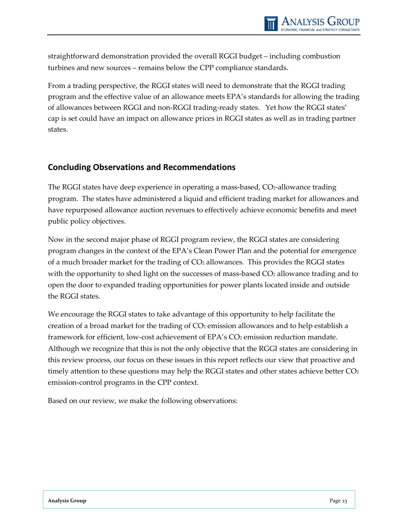straightforward demonstration provided the overall RGGI budget – including combustion turbines and new sources – remains below the CPP compliance standards.

From a trading perspective, the RGGI states will need to demonstrate that the RGGI trading program and the effective value of an allowance meets EPA's standards for allowing the trading of allowances between RGGI and non-RGGI trading-ready states. Yet how the RGGI states' cap is set could have an impact on allowance prices in RGGI states as well as in trading partner states.

### <span id="page-33-0"></span>**Concluding Observations and Recommendations**

The RGGI states have deep experience in operating a mass-based, CO<sub>2</sub>-allowance trading program. The states have administered a liquid and efficient trading market for allowances and have repurposed allowance auction revenues to effectively achieve economic benefits and meet public policy objectives.

Now in the second major phase of RGGI program review, the RGGI states are considering program changes in the context of the EPA's Clean Power Plan and the potential for emergence of a much broader market for the trading of  $CO<sub>2</sub>$  allowances. This provides the RGGI states with the opportunity to shed light on the successes of mass-based  $CO<sub>2</sub>$  allowance trading and to open the door to expanded trading opportunities for power plants located inside and outside the RGGI states.

We encourage the RGGI states to take advantage of this opportunity to help facilitate the creation of a broad market for the trading of CO<sub>2</sub> emission allowances and to help establish a framework for efficient, low-cost achievement of EPA's CO<sub>2</sub> emission reduction mandate. Although we recognize that this is not the only objective that the RGGI states are considering in this review process, our focus on these issues in this report reflects our view that proactive and timely attention to these questions may help the RGGI states and other states achieve better  $CO<sub>2</sub>$ emission-control programs in the CPP context.

Based on our review, we make the following observations: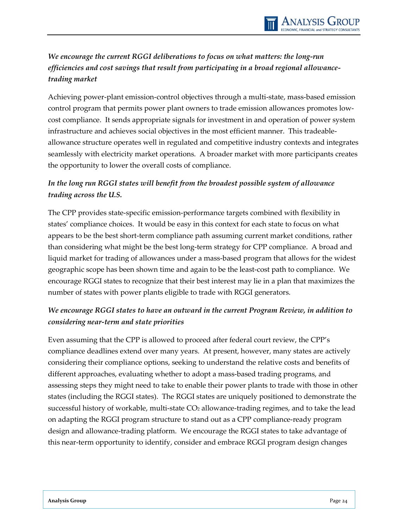## *We encourage the current RGGI deliberations to focus on what matters: the long-run efficiencies and cost savings that result from participating in a broad regional allowancetrading market*

Achieving power-plant emission-control objectives through a multi-state, mass-based emission control program that permits power plant owners to trade emission allowances promotes lowcost compliance. It sends appropriate signals for investment in and operation of power system infrastructure and achieves social objectives in the most efficient manner. This tradeableallowance structure operates well in regulated and competitive industry contexts and integrates seamlessly with electricity market operations. A broader market with more participants creates the opportunity to lower the overall costs of compliance.

## *In the long run RGGI states will benefit from the broadest possible system of allowance trading across the U.S.*

The CPP provides state-specific emission-performance targets combined with flexibility in states' compliance choices. It would be easy in this context for each state to focus on what appears to be the best short-term compliance path assuming current market conditions, rather than considering what might be the best long-term strategy for CPP compliance. A broad and liquid market for trading of allowances under a mass-based program that allows for the widest geographic scope has been shown time and again to be the least-cost path to compliance. We encourage RGGI states to recognize that their best interest may lie in a plan that maximizes the number of states with power plants eligible to trade with RGGI generators.

## *We encourage RGGI states to have an outward in the current Program Review, in addition to considering near-term and state priorities*

Even assuming that the CPP is allowed to proceed after federal court review, the CPP's compliance deadlines extend over many years. At present, however, many states are actively considering their compliance options, seeking to understand the relative costs and benefits of different approaches, evaluating whether to adopt a mass-based trading programs, and assessing steps they might need to take to enable their power plants to trade with those in other states (including the RGGI states). The RGGI states are uniquely positioned to demonstrate the successful history of workable, multi-state CO<sub>2</sub> allowance-trading regimes, and to take the lead on adapting the RGGI program structure to stand out as a CPP compliance-ready program design and allowance-trading platform. We encourage the RGGI states to take advantage of this near-term opportunity to identify, consider and embrace RGGI program design changes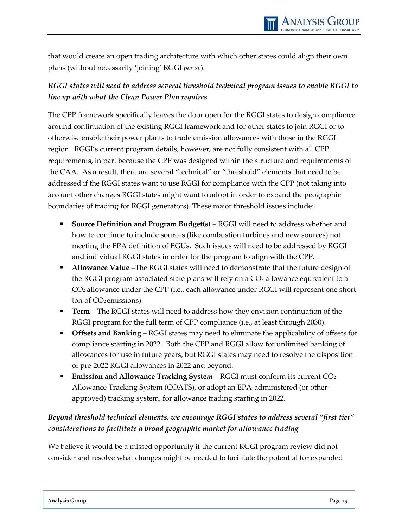that would create an open trading architecture with which other states could align their own plans (without necessarily 'joining' RGGI *per se*).

## *RGGI states will need to address several threshold technical program issues to enable RGGI to line up with what the Clean Power Plan requires*

The CPP framework specifically leaves the door open for the RGGI states to design compliance around continuation of the existing RGGI framework and for other states to join RGGI or to otherwise enable their power plants to trade emission allowances with those in the RGGI region. RGGI's current program details, however, are not fully consistent with all CPP requirements, in part because the CPP was designed within the structure and requirements of the CAA. As a result, there are several "technical" or "threshold" elements that need to be addressed if the RGGI states want to use RGGI for compliance with the CPP (not taking into account other changes RGGI states might want to adopt in order to expand the geographic boundaries of trading for RGGI generators). These major threshold issues include:

- **Source Definition and Program Budget(s)** RGGI will need to address whether and how to continue to include sources (like combustion turbines and new sources) not meeting the EPA definition of EGUs. Such issues will need to be addressed by RGGI and individual RGGI states in order for the program to align with the CPP.
- **Allowance Value** –The RGGI states will need to demonstrate that the future design of the RGGI program associated state plans will rely on a  $CO<sub>2</sub>$  allowance equivalent to a CO2 allowance under the CPP (i.e., each allowance under RGGI will represent one short ton of CO<sub>2</sub> emissions).
- **Term** The RGGI states will need to address how they envision continuation of the RGGI program for the full term of CPP compliance (i.e., at least through 2030).
- **Offsets and Banking** RGGI states may need to eliminate the applicability of offsets for compliance starting in 2022. Both the CPP and RGGI allow for unlimited banking of allowances for use in future years, but RGGI states may need to resolve the disposition of pre-2022 RGGI allowances in 2022 and beyond.
- **Emission and Allowance Tracking System** RGGI must conform its current CO<sub>2</sub> Allowance Tracking System (COATS), or adopt an EPA-administered (or other approved) tracking system, for allowance trading starting in 2022.

## *Beyond threshold technical elements, we encourage RGGI states to address several "first tier" considerations to facilitate a broad geographic market for allowance trading*

We believe it would be a missed opportunity if the current RGGI program review did not consider and resolve what changes might be needed to facilitate the potential for expanded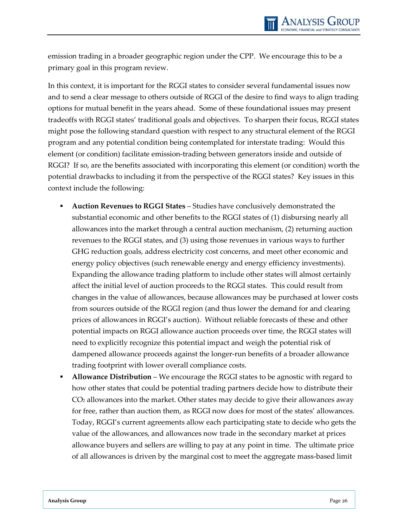emission trading in a broader geographic region under the CPP. We encourage this to be a primary goal in this program review.

In this context, it is important for the RGGI states to consider several fundamental issues now and to send a clear message to others outside of RGGI of the desire to find ways to align trading options for mutual benefit in the years ahead. Some of these foundational issues may present tradeoffs with RGGI states' traditional goals and objectives. To sharpen their focus, RGGI states might pose the following standard question with respect to any structural element of the RGGI program and any potential condition being contemplated for interstate trading: Would this element (or condition) facilitate emission-trading between generators inside and outside of RGGI? If so, are the benefits associated with incorporating this element (or condition) worth the potential drawbacks to including it from the perspective of the RGGI states? Key issues in this context include the following:

- **Auction Revenues to RGGI States** Studies have conclusively demonstrated the substantial economic and other benefits to the RGGI states of (1) disbursing nearly all allowances into the market through a central auction mechanism, (2) returning auction revenues to the RGGI states, and (3) using those revenues in various ways to further GHG reduction goals, address electricity cost concerns, and meet other economic and energy policy objectives (such renewable energy and energy efficiency investments). Expanding the allowance trading platform to include other states will almost certainly affect the initial level of auction proceeds to the RGGI states. This could result from changes in the value of allowances, because allowances may be purchased at lower costs from sources outside of the RGGI region (and thus lower the demand for and clearing prices of allowances in RGGI's auction). Without reliable forecasts of these and other potential impacts on RGGI allowance auction proceeds over time, the RGGI states will need to explicitly recognize this potential impact and weigh the potential risk of dampened allowance proceeds against the longer-run benefits of a broader allowance trading footprint with lower overall compliance costs.
- **Allowance Distribution** We encourage the RGGI states to be agnostic with regard to how other states that could be potential trading partners decide how to distribute their CO2 allowances into the market. Other states may decide to give their allowances away for free, rather than auction them, as RGGI now does for most of the states' allowances. Today, RGGI's current agreements allow each participating state to decide who gets the value of the allowances, and allowances now trade in the secondary market at prices allowance buyers and sellers are willing to pay at any point in time. The ultimate price of all allowances is driven by the marginal cost to meet the aggregate mass-based limit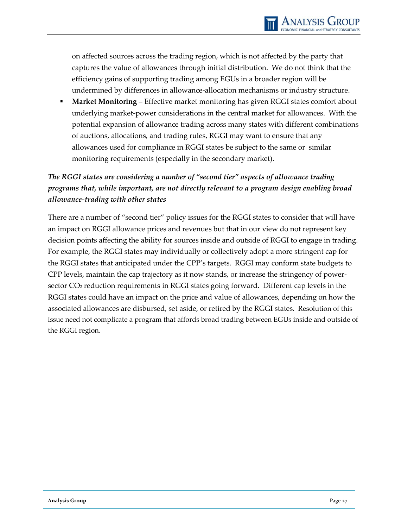on affected sources across the trading region, which is not affected by the party that captures the value of allowances through initial distribution. We do not think that the efficiency gains of supporting trading among EGUs in a broader region will be undermined by differences in allowance-allocation mechanisms or industry structure.

 **Market Monitoring** – Effective market monitoring has given RGGI states comfort about underlying market-power considerations in the central market for allowances. With the potential expansion of allowance trading across many states with different combinations of auctions, allocations, and trading rules, RGGI may want to ensure that any allowances used for compliance in RGGI states be subject to the same or similar monitoring requirements (especially in the secondary market).

## *The RGGI states are considering a number of "second tier" aspects of allowance trading programs that, while important, are not directly relevant to a program design enabling broad allowance-trading with other states*

There are a number of "second tier" policy issues for the RGGI states to consider that will have an impact on RGGI allowance prices and revenues but that in our view do not represent key decision points affecting the ability for sources inside and outside of RGGI to engage in trading. For example, the RGGI states may individually or collectively adopt a more stringent cap for the RGGI states that anticipated under the CPP's targets. RGGI may conform state budgets to CPP levels, maintain the cap trajectory as it now stands, or increase the stringency of powersector CO<sub>2</sub> reduction requirements in RGGI states going forward. Different cap levels in the RGGI states could have an impact on the price and value of allowances, depending on how the associated allowances are disbursed, set aside, or retired by the RGGI states. Resolution of this issue need not complicate a program that affords broad trading between EGUs inside and outside of the RGGI region.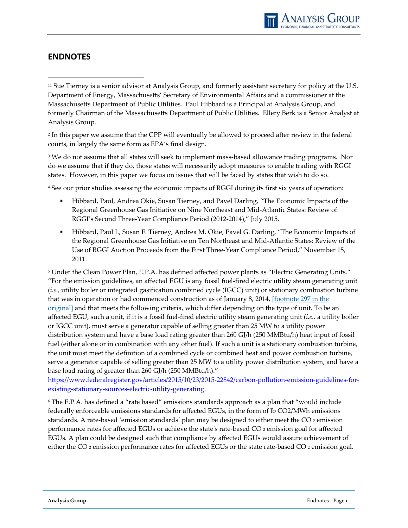### <span id="page-38-0"></span>**ENDNOTES**

 $\overline{a}$ 

<sup>11</sup> Sue Tierney is a senior advisor at Analysis Group, and formerly assistant secretary for policy at the U.S. Department of Energy, Massachusetts' Secretary of Environmental Affairs and a commissioner at the Massachusetts Department of Public Utilities. Paul Hibbard is a Principal at Analysis Group, and formerly Chairman of the Massachusetts Department of Public Utilities. Ellery Berk is a Senior Analyst at Analysis Group.

<sup>2</sup> In this paper we assume that the CPP will eventually be allowed to proceed after review in the federal courts, in largely the same form as EPA's final design.

<sup>3</sup> We do not assume that all states will seek to implement mass-based allowance trading programs. Nor do we assume that if they do, those states will necessarily adopt measures to enable trading with RGGI states. However, in this paper we focus on issues that will be faced by states that wish to do so.

<sup>4</sup> See our prior studies assessing the economic impacts of RGGI during its first six years of operation:

- Hibbard, Paul, Andrea Okie, Susan Tierney, and Pavel Darling, "The Economic Impacts of the Regional Greenhouse Gas Initiative on Nine Northeast and Mid-Atlantic States: Review of RGGI's Second Three-Year Compliance Period (2012-2014)," July 2015.
- Hibbard, Paul J., Susan F. Tierney, Andrea M. Okie, Pavel G. Darling, "The Economic Impacts of the Regional Greenhouse Gas Initiative on Ten Northeast and Mid-Atlantic States: Review of the Use of RGGI Auction Proceeds from the First Three-Year Compliance Period," November 15, 2011.

<sup>5</sup> Under the Clean Power Plan, E.P.A. has defined affected power plants as "Electric Generating Units." "For the emission guidelines, an affected EGU is any fossil fuel-fired electric utility steam generating unit (*i.e.,* utility boiler or integrated gasification combined cycle (IGCC) unit) or stationary combustion turbine that was in operation or had commenced construction as of January 8, 2014, [\[footnote](https://www.federalregister.gov/articles/2015/10/23/2015-22842/carbon-pollution-emission-guidelines-for-existing-stationary-sources-electric-utility-generating#footnote-297) 297 in the [original\]](https://www.federalregister.gov/articles/2015/10/23/2015-22842/carbon-pollution-emission-guidelines-for-existing-stationary-sources-electric-utility-generating#footnote-297) and that meets the following criteria, which differ depending on the type of unit. To be an affected EGU, such a unit, if it is a fossil fuel-fired electric utility steam generating unit (*i.e.,* a utility boiler or IGCC unit), must serve a generator capable of selling greater than 25 MW to a utility power distribution system and have a base load rating greater than 260 GJ/h (250 MMBtu/h) heat input of fossil fuel (either alone or in combination with any other fuel). If such a unit is a stationary combustion turbine, the unit must meet the definition of a combined cycle or combined heat and power combustion turbine, serve a generator capable of selling greater than 25 MW to a utility power distribution system, and have a base load rating of greater than 260 GJ/h (250 MMBtu/h)."

[https://www.federalregister.gov/articles/2015/10/23/2015-22842/carbon-pollution-emission-guidelines-for](https://www.federalregister.gov/articles/2015/10/23/2015-22842/carbon-pollution-emission-guidelines-for-existing-stationary-sources-electric-utility-generating)[existing-stationary-sources-electric-utility-generating.](https://www.federalregister.gov/articles/2015/10/23/2015-22842/carbon-pollution-emission-guidelines-for-existing-stationary-sources-electric-utility-generating)

<sup>6</sup> The E.P.A. has defined a "rate based" emissions standards approach as a plan that "would include federally enforceable emissions standards for affected EGUs, in the form of lb CO2/MWh emissions standards. A rate-based 'emission standards' plan may be designed to either meet the CO <sup>2</sup> emission performance rates for affected EGUs or achieve the state's rate-based CO <sup>2</sup> emission goal for affected EGUs. A plan could be designed such that compliance by affected EGUs would assure achievement of either the CO<sub>2</sub> emission performance rates for affected EGUs or the state rate-based CO<sub>2</sub> emission goal.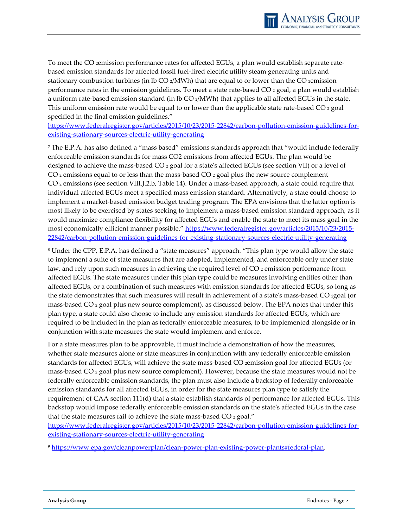<span id="page-39-0"></span>To meet the CO 2emission performance rates for affected EGUs, a plan would establish separate ratebased emission standards for affected fossil fuel-fired electric utility steam generating units and stationary combustion turbines (in lb  $CO_2/MWh$ ) that are equal to or lower than the CO 2emission performance rates in the emission guidelines. To meet a state rate-based CO <sup>2</sup> goal, a plan would establish a uniform rate-based emission standard (in lb CO 2/MWh) that applies to all affected EGUs in the state. This uniform emission rate would be equal to or lower than the applicable state rate-based  $CO_2$  goal specified in the final emission guidelines."

<span id="page-39-1"></span>[https://www.federalregister.gov/articles/2015/10/23/2015-22842/carbon-pollution-emission-guidelines-for](https://www.federalregister.gov/articles/2015/10/23/2015-22842/carbon-pollution-emission-guidelines-for-existing-stationary-sources-electric-utility-generating)[existing-stationary-sources-electric-utility-generating](https://www.federalregister.gov/articles/2015/10/23/2015-22842/carbon-pollution-emission-guidelines-for-existing-stationary-sources-electric-utility-generating)

<span id="page-39-3"></span><span id="page-39-2"></span><sup>7</sup> The E.P.A. has also defined a "mass based" emissions standards approach that "would include federally enforceable emission standards for mass CO2 emissions from affected EGUs. The plan would be designed to achieve the mass-based CO <sup>2</sup> goal for a state's affected EGUs (see section VII) or a level of CO  $_2$  emissions equal to or less than the mass-based CO  $_2$  goal plus the new source complement CO <sup>2</sup> emissions (see section VIII.J.2.b, Table 14). Under a mass-based approach, a state could require that individual affected EGUs meet a specified mass emission standard. Alternatively, a state could choose to implement a market-based emission budget trading program. The EPA envisions that the latter option is most likely to be exercised by states seeking to implement a mass-based emission standard approach, as it would maximize compliance flexibility for affected EGUs and enable the state to meet its mass goal in the most economically efficient manner possible." [https://www.federalregister.gov/articles/2015/10/23/2015-](https://www.federalregister.gov/articles/2015/10/23/2015-22842/carbon-pollution-emission-guidelines-for-existing-stationary-sources-electric-utility-generating) [22842/carbon-pollution-emission-guidelines-for-existing-stationary-sources-electric-utility-generating](https://www.federalregister.gov/articles/2015/10/23/2015-22842/carbon-pollution-emission-guidelines-for-existing-stationary-sources-electric-utility-generating)

<sup>8</sup> Under the CPP, E.P.A. has defined a "state measures" approach. "This plan type would allow the state to implement a suite of state measures that are adopted, implemented, and enforceable only under state law, and rely upon such measures in achieving the required level of CO<sub>2</sub> emission performance from affected EGUs. The state measures under this plan type could be measures involving entities other than affected EGUs, or a combination of such measures with emission standards for affected EGUs, so long as the state demonstrates that such measures will result in achievement of a state's mass-based CO 2goal (or mass-based CO  $_2$  goal plus new source complement), as discussed below. The EPA notes that under this plan type, a state could also choose to include any emission standards for affected EGUs, which are required to be included in the plan as federally enforceable measures, to be implemented alongside or in conjunction with state measures the state would implement and enforce.

For a state measures plan to be approvable, it must include a demonstration of how the measures, whether state measures alone or state measures in conjunction with any federally enforceable emission standards for affected EGUs, will achieve the state mass-based CO 2emission goal for affected EGUs (or mass-based CO <sup>2</sup> goal plus new source complement). However, because the state measures would not be federally enforceable emission standards, the plan must also include a backstop of federally enforceable emission standards for all affected EGUs, in order for the state measures plan type to satisfy the requirement of CAA section 111(d) that a state establish standards of performance for affected EGUs. This backstop would impose federally enforceable emission standards on the state's affected EGUs in the case that the state measures fail to achieve the state mass-based CO 2 goal."

[https://www.federalregister.gov/articles/2015/10/23/2015-22842/carbon-pollution-emission-guidelines-for](https://www.federalregister.gov/articles/2015/10/23/2015-22842/carbon-pollution-emission-guidelines-for-existing-stationary-sources-electric-utility-generating)[existing-stationary-sources-electric-utility-generating](https://www.federalregister.gov/articles/2015/10/23/2015-22842/carbon-pollution-emission-guidelines-for-existing-stationary-sources-electric-utility-generating)

<sup>9</sup> [https://www.epa.gov/cleanpowerplan/clean-power-plan-existing-power-plants#federal-plan.](https://www.epa.gov/cleanpowerplan/clean-power-plan-existing-power-plants#federal-plan)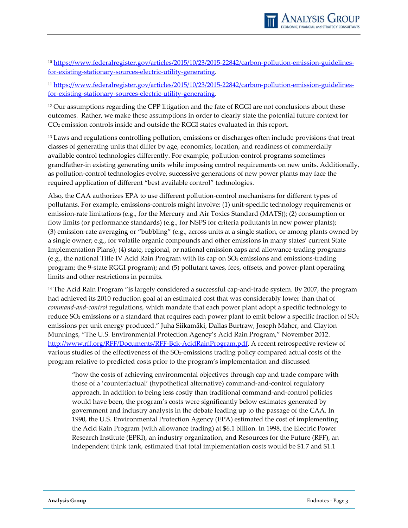

<sup>10</sup> [https://www.federalregister.gov/articles/2015/10/23/2015-22842/carbon-pollution-emission-guidelines](https://www.federalregister.gov/articles/2015/10/23/2015-22842/carbon-pollution-emission-guidelines-for-existing-stationary-sources-electric-utility-generating)[for-existing-stationary-sources-electric-utility-generating.](https://www.federalregister.gov/articles/2015/10/23/2015-22842/carbon-pollution-emission-guidelines-for-existing-stationary-sources-electric-utility-generating)

<sup>11</sup> [https://www.federalregister.gov/articles/2015/10/23/2015-22842/carbon-pollution-emission-guidelines](https://www.federalregister.gov/articles/2015/10/23/2015-22842/carbon-pollution-emission-guidelines-for-existing-stationary-sources-electric-utility-generating)[for-existing-stationary-sources-electric-utility-generating.](https://www.federalregister.gov/articles/2015/10/23/2015-22842/carbon-pollution-emission-guidelines-for-existing-stationary-sources-electric-utility-generating)

<sup>12</sup> Our assumptions regarding the CPP litigation and the fate of RGGI are not conclusions about these outcomes. Rather, we make these assumptions in order to clearly state the potential future context for CO2 emission controls inside and outside the RGGI states evaluated in this report.

<span id="page-40-2"></span><sup>13</sup> Laws and regulations controlling pollution, emissions or discharges often include provisions that treat classes of generating units that differ by age, economics, location, and readiness of commercially available control technologies differently. For example, pollution-control programs sometimes grandfather-in existing generating units while imposing control requirements on new units. Additionally, as pollution-control technologies evolve, successive generations of new power plants may face the required application of different "best available control" technologies.

Also, the CAA authorizes EPA to use different pollution-control mechanisms for different types of pollutants. For example, emissions-controls might involve: (1) unit-specific technology requirements or emission-rate limitations (e.g., for the Mercury and Air Toxics Standard (MATS)); (2) consumption or flow limits (or performance standards) (e.g., for NSPS for criteria pollutants in new power plants); (3) emission-rate averaging or "bubbling" (e.g., across units at a single station, or among plants owned by a single owner; e.g., for volatile organic compounds and other emissions in many states' current State Implementation Plans); (4) state, regional, or national emission caps and allowance-trading programs (e.g., the national Title IV Acid Rain Program with its cap on  $SO<sub>2</sub>$  emissions and emissions-trading program; the 9-state RGGI program); and (5) pollutant taxes, fees, offsets, and power-plant operating limits and other restrictions in permits.

<span id="page-40-3"></span><span id="page-40-0"></span><sup>14</sup> The Acid Rain Program "is largely considered a successful cap-and-trade system. By 2007, the program had achieved its 2010 reduction goal at an estimated cost that was considerably lower than that of *command-and-control* regulations, which mandate that each power plant adopt a specific technology to reduce SO<sub>2</sub> emissions or a standard that requires each power plant to emit below a specific fraction of SO<sub>2</sub> emissions per unit energy produced." Juha Siikamäki, Dallas Burtraw, Joseph Maher, and Clayton Munnings, "The U.S. Environmental Protection Agency's Acid Rain Program," November 2012. [http://www.rff.org/RFF/Documents/RFF-Bck-AcidRainProgram.pdf.](http://www.rff.org/RFF/Documents/RFF-Bck-AcidRainProgram.pdf) A recent retrospective review of various studies of the effectiveness of the SO2-emissions trading policy compared actual costs of the program relative to predicted costs prior to the program's implementation and discussed

<span id="page-40-4"></span><span id="page-40-1"></span>"how the costs of achieving environmental objectives through cap and trade compare with those of a 'counterfactual' (hypothetical alternative) command-and-control regulatory approach. In addition to being less costly than traditional command-and-control policies would have been, the program's costs were significantly below estimates generated by government and industry analysts in the debate leading up to the passage of the CAA. In 1990, the U.S. Environmental Protection Agency (EPA) estimated the cost of implementing the Acid Rain Program (with allowance trading) at \$6.1 billion. In 1998, the Electric Power Research Institute (EPRI), an industry organization, and Resources for the Future (RFF), an independent think tank, estimated that total implementation costs would be \$1.7 and \$1.1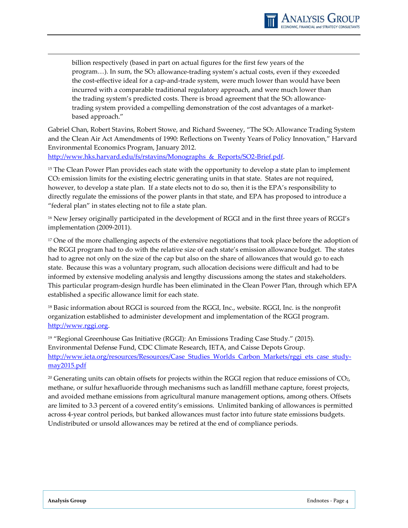<span id="page-41-0"></span>billion respectively (based in part on actual figures for the first few years of the program...). In sum, the SO<sub>2</sub> allowance-trading system's actual costs, even if they exceeded the cost-effective ideal for a cap-and-trade system, were much lower than would have been incurred with a comparable traditional regulatory approach, and were much lower than the trading system's predicted costs. There is broad agreement that the SO<sub>2</sub> allowancetrading system provided a compelling demonstration of the cost advantages of a marketbased approach."

<span id="page-41-3"></span><span id="page-41-2"></span><span id="page-41-1"></span>Gabriel Chan, Robert Stavins, Robert Stowe, and Richard Sweeney, "The SO2 Allowance Trading System and the Clean Air Act Amendments of 1990: Reflections on Twenty Years of Policy Innovation," Harvard Environmental Economics Program, January 2012.

http://www.hks.harvard.edu/fs/rstavins/Monographs & Reports/SO2-Brief.pdf.

<sup>15</sup> The Clean Power Plan provides each state with the opportunity to develop a state plan to implement CO2 emission limits for the existing electric generating units in that state. States are not required, however, to develop a state plan. If a state elects not to do so, then it is the EPA's responsibility to directly regulate the emissions of the power plants in that state, and EPA has proposed to introduce a "federal plan" in states electing not to file a state plan.

<sup>16</sup> New Jersey originally participated in the development of RGGI and in the first three years of RGGI's implementation (2009-2011).

<sup>17</sup> One of the more challenging aspects of the extensive negotiations that took place before the adoption of the RGGI program had to do with the relative size of each state's emission allowance budget. The states had to agree not only on the size of the cap but also on the share of allowances that would go to each state. Because this was a voluntary program, such allocation decisions were difficult and had to be informed by extensive modeling analysis and lengthy discussions among the states and stakeholders. This particular program-design hurdle has been eliminated in the Clean Power Plan, through which EPA established a specific allowance limit for each state.

<sup>18</sup> Basic information about RGGI is sourced from the RGGI, Inc., website. RGGI, Inc. is the nonprofit organization established to administer development and implementation of the RGGI program. [http://www.rggi.org.](http://www.rggi.org/)

<sup>19</sup> "Regional Greenhouse Gas Initiative (RGGI): An Emissions Trading Case Study." (2015). Environmental Defense Fund, CDC Climate Research, IETA, and Caisse Depots Group. [http://www.ieta.org/resources/Resources/Case\\_Studies\\_Worlds\\_Carbon\\_Markets/rggi\\_ets\\_case\\_study](http://www.ieta.org/resources/Resources/Case_Studies_Worlds_Carbon_Markets/rggi_ets_case_study-may2015.pdf)[may2015.pdf](http://www.ieta.org/resources/Resources/Case_Studies_Worlds_Carbon_Markets/rggi_ets_case_study-may2015.pdf)

 $20$  Generating units can obtain offsets for projects within the RGGI region that reduce emissions of  $CO<sub>2</sub>$ , methane, or sulfur hexafluoride through mechanisms such as landfill methane capture, forest projects, and avoided methane emissions from agricultural manure management options, among others. Offsets are limited to 3.3 percent of a covered entity's emissions. Unlimited banking of allowances is permitted across 4-year control periods, but banked allowances must factor into future state emissions budgets. Undistributed or unsold allowances may be retired at the end of compliance periods.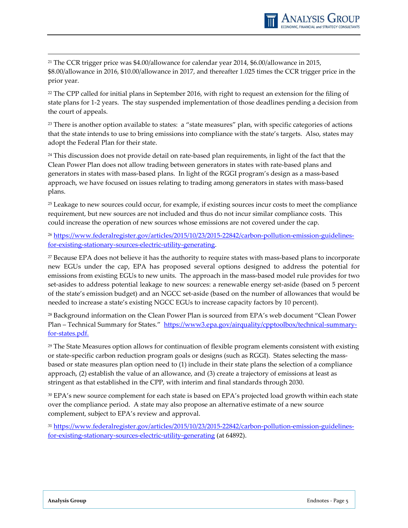

<sup>21</sup> The CCR trigger price was \$4.00/allowance for calendar year 2014, \$6.00/allowance in 2015, \$8.00/allowance in 2016, \$10.00/allowance in 2017, and thereafter 1.025 times the CCR trigger price in the prior year.

<sup>22</sup> The CPP called for initial plans in September 2016, with right to request an extension for the filing of state plans for 1-2 years. The stay suspended implementation of those deadlines pending a decision from the court of appeals.

<sup>23</sup> There is another option available to states: a "state measures" plan, with specific categories of actions that the state intends to use to bring emissions into compliance with the state's targets. Also, states may adopt the Federal Plan for their state.

<span id="page-42-1"></span><sup>24</sup> This discussion does not provide detail on rate-based plan requirements, in light of the fact that the Clean Power Plan does not allow trading between generators in states with rate-based plans and generators in states with mass-based plans. In light of the RGGI program's design as a mass-based approach, we have focused on issues relating to trading among generators in states with mass-based plans.

<span id="page-42-2"></span><sup>25</sup> Leakage to new sources could occur, for example, if existing sources incur costs to meet the compliance requirement, but new sources are not included and thus do not incur similar compliance costs. This could increase the operation of new sources whose emissions are not covered under the cap.

<span id="page-42-3"></span><sup>26</sup> [https://www.federalregister.gov/articles/2015/10/23/2015-22842/carbon-pollution-emission-guidelines](https://www.federalregister.gov/articles/2015/10/23/2015-22842/carbon-pollution-emission-guidelines-for-existing-stationary-sources-electric-utility-generating)[for-existing-stationary-sources-electric-utility-generating.](https://www.federalregister.gov/articles/2015/10/23/2015-22842/carbon-pollution-emission-guidelines-for-existing-stationary-sources-electric-utility-generating)

<sup>27</sup> Because EPA does not believe it has the authority to require states with mass-based plans to incorporate new EGUs under the cap, EPA has proposed several options designed to address the potential for emissions from existing EGUs to new units. The approach in the mass-based model rule provides for two set-asides to address potential leakage to new sources: a renewable energy set-aside (based on 5 percent of the state's emission budget) and an NGCC set-aside (based on the number of allowances that would be needed to increase a state's existing NGCC EGUs to increase capacity factors by 10 percent).

<span id="page-42-0"></span><sup>28</sup> Background information on the Clean Power Plan is sourced from EPA's web document "Clean Power Plan – Technical Summary for States." [https://www3.epa.gov/airquality/cpptoolbox/technical-summary](https://www3.epa.gov/airquality/cpptoolbox/technical-summary-for-states.pdf)[for-states.pdf.](https://www3.epa.gov/airquality/cpptoolbox/technical-summary-for-states.pdf)

 $29$  The State Measures option allows for continuation of flexible program elements consistent with existing or state-specific carbon reduction program goals or designs (such as RGGI). States selecting the massbased or state measures plan option need to (1) include in their state plans the selection of a compliance approach, (2) establish the value of an allowance, and (3) create a trajectory of emissions at least as stringent as that established in the CPP, with interim and final standards through 2030.

<sup>30</sup> EPA's new source complement for each state is based on EPA's projected load growth within each state over the compliance period. A state may also propose an alternative estimate of a new source complement, subject to EPA's review and approval.

<sup>31</sup> [https://www.federalregister.gov/articles/2015/10/23/2015-22842/carbon-pollution-emission-guidelines](https://www.federalregister.gov/articles/2015/10/23/2015-22842/carbon-pollution-emission-guidelines-for-existing-stationary-sources-electric-utility-generating)[for-existing-stationary-sources-electric-utility-generating](https://www.federalregister.gov/articles/2015/10/23/2015-22842/carbon-pollution-emission-guidelines-for-existing-stationary-sources-electric-utility-generating) (at 64892).